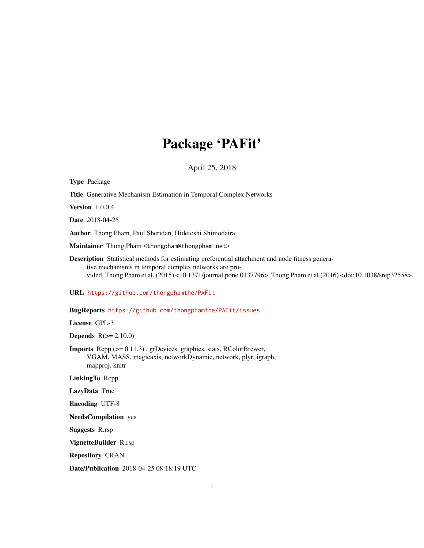# Package 'PAFit'

April 25, 2018

<span id="page-0-0"></span>

| <b>Type Package</b>                                                                                                                                                                                                                                                                           |
|-----------------------------------------------------------------------------------------------------------------------------------------------------------------------------------------------------------------------------------------------------------------------------------------------|
| Title Generative Mechanism Estimation in Temporal Complex Networks                                                                                                                                                                                                                            |
| <b>Version</b> 1.0.0.4                                                                                                                                                                                                                                                                        |
| Date 2018-04-25                                                                                                                                                                                                                                                                               |
| Author Thong Pham, Paul Sheridan, Hidetoshi Shimodaira                                                                                                                                                                                                                                        |
| Maintainer Thong Pham <thongpham@thongpham.net></thongpham@thongpham.net>                                                                                                                                                                                                                     |
| Description Statistical methods for estimating preferential attachment and node fitness genera-<br>tive mechanisms in temporal complex networks are pro-<br>vided. Thong Pham et al. (2015) <10.1371/journal.pone.0137796>. Thong Pham et al.(2016) <doi:10.1038 srep32558="">.</doi:10.1038> |
| URL https://github.com/thongphamthe/PAFit                                                                                                                                                                                                                                                     |
| BugReports https://github.com/thongphamthe/PAFit/issues                                                                                                                                                                                                                                       |
| License GPL-3                                                                                                                                                                                                                                                                                 |
| <b>Depends</b> $R(>= 2.10.0)$                                                                                                                                                                                                                                                                 |
| <b>Imports</b> Repp (>= 0.11.3), grDevices, graphics, stats, RColorBrewer,<br>VGAM, MASS, magicaxis, networkDynamic, network, plyr, igraph,<br>mapproj, knitr                                                                                                                                 |
| LinkingTo Repp                                                                                                                                                                                                                                                                                |
| LazyData True                                                                                                                                                                                                                                                                                 |
| <b>Encoding UTF-8</b>                                                                                                                                                                                                                                                                         |
| <b>NeedsCompilation</b> yes                                                                                                                                                                                                                                                                   |
| <b>Suggests R.rsp</b>                                                                                                                                                                                                                                                                         |
| VignetteBuilder R.rsp                                                                                                                                                                                                                                                                         |
| <b>Repository CRAN</b>                                                                                                                                                                                                                                                                        |
| Date/Publication 2018-04-25 08:18:19 UTC                                                                                                                                                                                                                                                      |
| $\mathbf{1}$                                                                                                                                                                                                                                                                                  |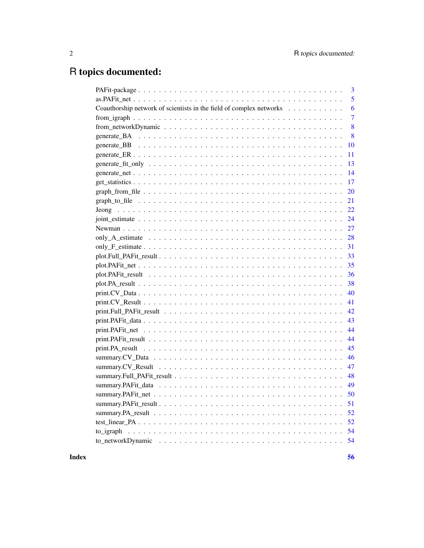# R topics documented:

|                                                                     |  |  |  |  | 3   |
|---------------------------------------------------------------------|--|--|--|--|-----|
|                                                                     |  |  |  |  | 5   |
| Coauthorship network of scientists in the field of complex networks |  |  |  |  | 6   |
|                                                                     |  |  |  |  | 7   |
|                                                                     |  |  |  |  | 8   |
|                                                                     |  |  |  |  | 8   |
|                                                                     |  |  |  |  | 10  |
|                                                                     |  |  |  |  | 11  |
|                                                                     |  |  |  |  | 13  |
|                                                                     |  |  |  |  | 14  |
|                                                                     |  |  |  |  | 17  |
|                                                                     |  |  |  |  | 20  |
|                                                                     |  |  |  |  | 21  |
|                                                                     |  |  |  |  | 22  |
|                                                                     |  |  |  |  | 24  |
|                                                                     |  |  |  |  | 27  |
|                                                                     |  |  |  |  | 28  |
|                                                                     |  |  |  |  | 31  |
|                                                                     |  |  |  |  | 33  |
|                                                                     |  |  |  |  | 35  |
|                                                                     |  |  |  |  | 36  |
|                                                                     |  |  |  |  | 38  |
|                                                                     |  |  |  |  | 40  |
|                                                                     |  |  |  |  | 41  |
|                                                                     |  |  |  |  | 42. |
|                                                                     |  |  |  |  | 43  |
|                                                                     |  |  |  |  | 44  |
|                                                                     |  |  |  |  | 44  |
|                                                                     |  |  |  |  | 45  |
|                                                                     |  |  |  |  | 46  |
|                                                                     |  |  |  |  | 47  |
|                                                                     |  |  |  |  | 48  |
|                                                                     |  |  |  |  | 49  |
|                                                                     |  |  |  |  | 50  |
|                                                                     |  |  |  |  | 51  |
|                                                                     |  |  |  |  | 52  |
|                                                                     |  |  |  |  |     |
|                                                                     |  |  |  |  | 54  |
|                                                                     |  |  |  |  | 54  |
|                                                                     |  |  |  |  |     |

**Index** [56](#page-55-0)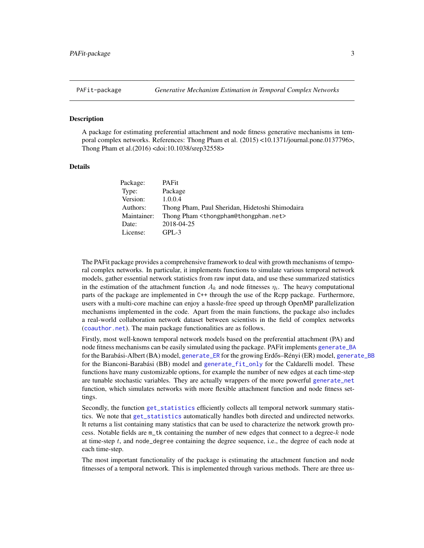### <span id="page-2-0"></span>Description

A package for estimating preferential attachment and node fitness generative mechanisms in temporal complex networks. References: Thong Pham et al. (2015) <10.1371/journal.pone.0137796>, Thong Pham et al.(2016) <doi:10.1038/srep32558>

### Details

| Package:    | <b>PAFit</b>                                                   |
|-------------|----------------------------------------------------------------|
| Type:       | Package                                                        |
| Version:    | 1.0.0.4                                                        |
| Authors:    | Thong Pham, Paul Sheridan, Hidetoshi Shimodaira                |
| Maintainer: | Thong Pham <thongpham@thongpham.net></thongpham@thongpham.net> |
| Date:       | 2018-04-25                                                     |
| License:    | $GPI - 3$                                                      |

The PAFit package provides a comprehensive framework to deal with growth mechanisms of temporal complex networks. In particular, it implements functions to simulate various temporal network models, gather essential network statistics from raw input data, and use these summarized statistics in the estimation of the attachment function  $A_k$  and node fitnesses  $\eta_i$ . The heavy computational parts of the package are implemented in C++ through the use of the Rcpp package. Furthermore, users with a multi-core machine can enjoy a hassle-free speed up through OpenMP parallelization mechanisms implemented in the code. Apart from the main functions, the package also includes a real-world collaboration network dataset between scientists in the field of complex networks ([coauthor.net](#page-5-1)). The main package functionalities are as follows.

Firstly, most well-known temporal network models based on the preferential attachment (PA) and node fitness mechanisms can be easily simulated using the package. PAFit implements [generate\\_BA](#page-7-1) for the Barabási-Albert (BA) model, [generate\\_ER](#page-10-1) for the growing Erdős–Rényi (ER) model, [generate\\_BB](#page-9-1) for the Bianconi-Barabási (BB) model and [generate\\_fit\\_only](#page-12-1) for the Caldarelli model. These functions have many customizable options, for example the number of new edges at each time-step are tunable stochastic variables. They are actually wrappers of the more powerful [generate\\_net](#page-13-1) function, which simulates networks with more flexible attachment function and node fitness settings.

Secondly, the function [get\\_statistics](#page-16-1) efficiently collects all temporal network summary statistics. We note that [get\\_statistics](#page-16-1) automatically handles both directed and undirected networks. It returns a list containing many statistics that can be used to characterize the network growth process. Notable fields are  $m$ \_tk containing the number of new edges that connect to a degree-k node at time-step  $t$ , and node\_degree containing the degree sequence, i.e., the degree of each node at each time-step.

The most important functionality of the package is estimating the attachment function and node fitnesses of a temporal network. This is implemented through various methods. There are three us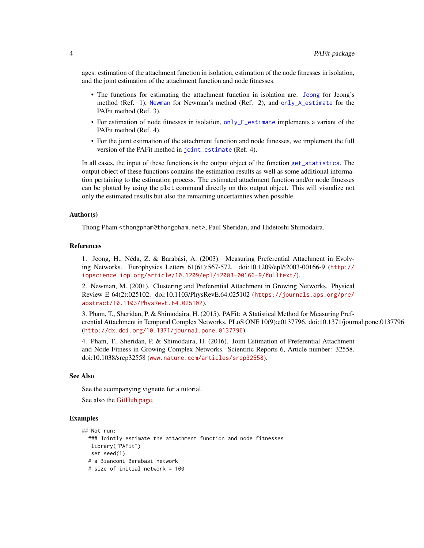<span id="page-3-0"></span>ages: estimation of the attachment function in isolation, estimation of the node fitnesses in isolation, and the joint estimation of the attachment function and node fitnesses.

- The functions for estimating the attachment function in isolation are: [Jeong](#page-21-1) for Jeong's method (Ref. 1), [Newman](#page-26-1) for Newman's method (Ref. 2), and [only\\_A\\_estimate](#page-27-1) for the PAFit method (Ref. 3).
- For estimation of node fitnesses in isolation, [only\\_F\\_estimate](#page-30-1) implements a variant of the PAFit method (Ref. 4).
- For the joint estimation of the attachment function and node fitnesses, we implement the full version of the PAFit method in [joint\\_estimate](#page-23-1) (Ref. 4).

In all cases, the input of these functions is the output object of the function [get\\_statistics](#page-16-1). The output object of these functions contains the estimation results as well as some additional information pertaining to the estimation process. The estimated attachment function and/or node fitnesses can be plotted by using the plot command directly on this output object. This will visualize not only the estimated results but also the remaining uncertainties when possible.

#### Author(s)

Thong Pham <thongpham@thongpham.net>, Paul Sheridan, and Hidetoshi Shimodaira.

#### References

1. Jeong, H., Néda, Z. & Barabási, A. (2003). Measuring Preferential Attachment in Evolving Networks. Europhysics Letters 61(61):567-572. doi:10.1209/epl/i2003-00166-9 ([http://](http://iopscience.iop.org/article/10.1209/epl/i2003-00166-9/fulltext/) [iopscience.iop.org/article/10.1209/epl/i2003-00166-9/fulltext/](http://iopscience.iop.org/article/10.1209/epl/i2003-00166-9/fulltext/)).

2. Newman, M. (2001). Clustering and Preferential Attachment in Growing Networks. Physical Review E 64(2):025102. doi:10.1103/PhysRevE.64.025102 ([https://journals.aps.org/pre/](https://journals.aps.org/pre/abstract/10.1103/PhysRevE.64.025102) [abstract/10.1103/PhysRevE.64.025102](https://journals.aps.org/pre/abstract/10.1103/PhysRevE.64.025102)).

3. Pham, T., Sheridan, P. & Shimodaira, H. (2015). PAFit: A Statistical Method for Measuring Preferential Attachment in Temporal Complex Networks. PLoS ONE 10(9):e0137796. doi:10.1371/journal.pone.0137796 (<http://dx.doi.org/10.1371/journal.pone.0137796>).

4. Pham, T., Sheridan, P. & Shimodaira, H. (2016). Joint Estimation of Preferential Attachment and Node Fitness in Growing Complex Networks. Scientific Reports 6, Article number: 32558. doi:10.1038/srep32558 (<www.nature.com/articles/srep32558>).

### See Also

See the acompanying vignette for a tutorial.

See also the [GitHub page.](https://github.com/thongphamthe/PAFit)

#### Examples

```
## Not run:
 ### Jointly estimate the attachment function and node fitnesses
  library("PAFit")
  set.seed(1)
 # a Bianconi-Barabasi network
 # size of initial network = 100
```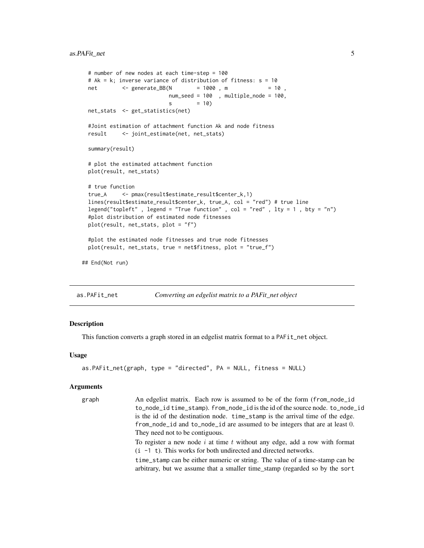```
# number of new nodes at each time-step = 100
 # Ak = k; inverse variance of distribution of fitness: s = 10
 net <- generate_BB(N = 1000, m = 10,
                          num_seed = 100 , multiple_node = 100,
                          s = 10net_stats <- get_statistics(net)
 #Joint estimation of attachment function Ak and node fitness
 result <- joint_estimate(net, net_stats)
 summary(result)
 # plot the estimated attachment function
 plot(result, net_stats)
 # true function
 true_A <- pmax(result$estimate_result$center_k,1)
 lines(result$estimate_result$center_k, true_A, col = "red") # true line
 legend("topleft" , legend = "True function" , col = "red" , lty = 1 , bty = "n")
 #plot distribution of estimated node fitnesses
 plot(result, net_stats, plot = "f")
 #plot the estimated node fitnesses and true node fitnesses
 plot(result, net_stats, true = net$fitness, plot = "true_f")
## End(Not run)
```
<span id="page-4-1"></span>as.PAFit\_net *Converting an edgelist matrix to a PAFit\_net object*

# Description

This function converts a graph stored in an edgelist matrix format to a PAFit\_net object.

#### Usage

```
as.PAFit_net(graph, type = "directed", PA = NULL, fitness = NULL)
```
#### Arguments

graph An edgelist matrix. Each row is assumed to be of the form (from\_node\_id to\_node\_id time\_stamp). from\_node\_id is the id of the source node. to\_node\_id is the id of the destination node. time\_stamp is the arrival time of the edge. from\_node\_id and to\_node\_id are assumed to be integers that are at least 0. They need not to be contiguous. To register a new node  $i$  at time  $t$  without any edge, add a row with format  $(i -1)$ . This works for both undirected and directed networks. time\_stamp can be either numeric or string. The value of a time-stamp can be arbitrary, but we assume that a smaller time\_stamp (regarded so by the sort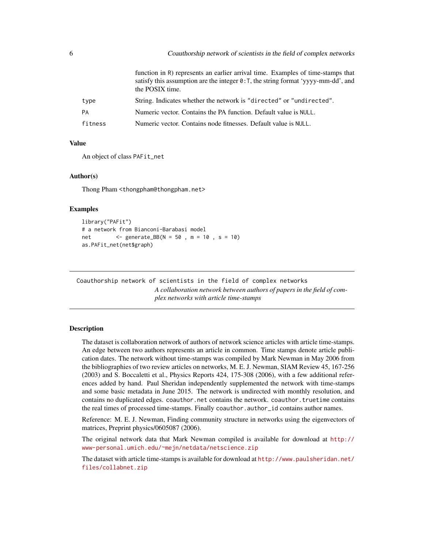<span id="page-5-0"></span>

|           | function in R) represents an earlier arrival time. Examples of time-stamps that<br>satisfy this assumption are the integer $\theta$ : T, the string format 'yyyy-mm-dd', and<br>the POSIX time. |
|-----------|-------------------------------------------------------------------------------------------------------------------------------------------------------------------------------------------------|
| type      | String. Indicates whether the network is "directed" or "undirected".                                                                                                                            |
| <b>PA</b> | Numeric vector. Contains the PA function. Default value is NULL.                                                                                                                                |
| fitness   | Numeric vector. Contains node fitnesses. Default value is NULL.                                                                                                                                 |

#### Value

An object of class PAFit\_net

#### Author(s)

Thong Pham <thongpham@thongpham.net>

# Examples

```
library("PAFit")
# a network from Bianconi-Barabasi model
net <- generate_BB(N = 50 , m = 10 , s = 10)
as.PAFit_net(net$graph)
```
Coauthorship network of scientists in the field of complex networks *A collaboration network between authors of papers in the field of complex networks with article time-stamps*

### <span id="page-5-1"></span>Description

The dataset is collaboration network of authors of network science articles with article time-stamps. An edge between two authors represents an article in common. Time stamps denote article publication dates. The network without time-stamps was compiled by Mark Newman in May 2006 from the bibliographies of two review articles on networks, M. E. J. Newman, SIAM Review 45, 167-256 (2003) and S. Boccaletti et al., Physics Reports 424, 175-308 (2006), with a few additional references added by hand. Paul Sheridan independently supplemented the network with time-stamps and some basic metadata in June 2015. The network is undirected with monthly resolution, and contains no duplicated edges. coauthor.net contains the network. coauthor.truetime contains the real times of processed time-stamps. Finally coauthor.author\_id contains author names.

Reference: M. E. J. Newman, Finding community structure in networks using the eigenvectors of matrices, Preprint physics/0605087 (2006).

The original network data that Mark Newman compiled is available for download at [http://](http://www-personal.umich.edu/~mejn/netdata/netscience.zip) [www-personal.umich.edu/~mejn/netdata/netscience.zip](http://www-personal.umich.edu/~mejn/netdata/netscience.zip)

The dataset with article time-stamps is available for download at [http://www.paulsheridan.net/](http://www.paulsheridan.net/files/collabnet.zip) [files/collabnet.zip](http://www.paulsheridan.net/files/collabnet.zip)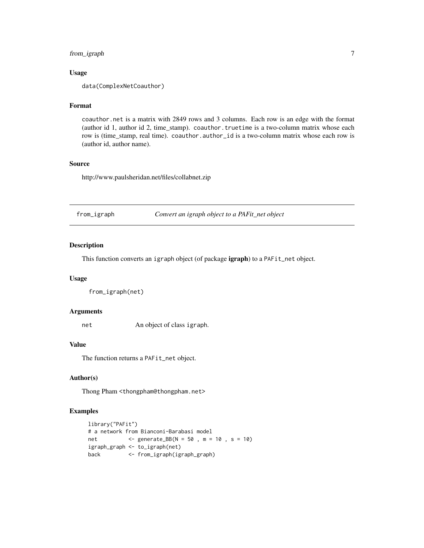# <span id="page-6-0"></span>from\_igraph 7

### Usage

data(ComplexNetCoauthor)

### Format

coauthor.net is a matrix with 2849 rows and 3 columns. Each row is an edge with the format (author id 1, author id 2, time\_stamp). coauthor.truetime is a two-column matrix whose each row is (time\_stamp, real time). coauthor.author\_id is a two-column matrix whose each row is (author id, author name).

### Source

http://www.paulsheridan.net/files/collabnet.zip

<span id="page-6-1"></span>from\_igraph *Convert an igraph object to a PAFit\_net object*

# Description

This function converts an igraph object (of package igraph) to a PAFit\_net object.

### Usage

from\_igraph(net)

# Arguments

net An object of class igraph.

#### Value

The function returns a PAFit\_net object.

### Author(s)

Thong Pham <thongpham@thongpham.net>

# Examples

```
library("PAFit")
# a network from Bianconi-Barabasi model
net <- generate_BB(N = 50 , m = 10 , s = 10)
igraph_graph <- to_igraph(net)
back <- from_igraph(igraph_graph)
```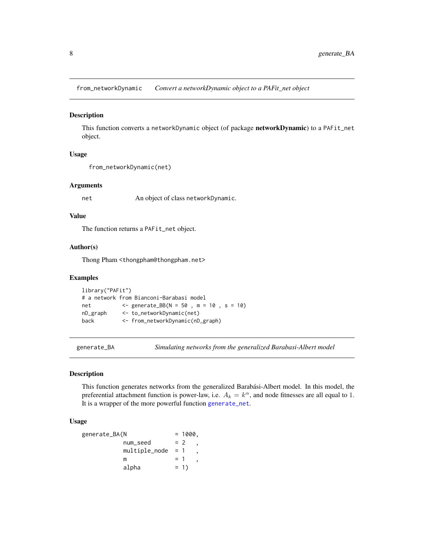<span id="page-7-2"></span><span id="page-7-0"></span>from\_networkDynamic *Convert a networkDynamic object to a PAFit\_net object*

### Description

This function converts a networkDynamic object (of package networkDynamic) to a PAFit\_net object.

### Usage

```
from_networkDynamic(net)
```
### Arguments

net An object of class networkDynamic.

### Value

The function returns a PAFit\_net object.

# Author(s)

Thong Pham <thongpham@thongpham.net>

# Examples

```
library("PAFit")
# a network from Bianconi-Barabasi model
net <- generate_BB(N = 50 , m = 10 , s = 10)
nD_graph <- to_networkDynamic(net)
back <- from_networkDynamic(nD_graph)
```
<span id="page-7-1"></span>

generate\_BA *Simulating networks from the generalized Barabasi-Albert model*

#### Description

This function generates networks from the generalized Barabási-Albert model. In this model, the preferential attachment function is power-law, i.e.  $A_k = k^{\alpha}$ , and node fitnesses are all equal to 1. It is a wrapper of the more powerful function [generate\\_net](#page-13-1).

### Usage

```
generate_BA(N = 1000,num\_seed = 2
       multiple\_node = 1m = 1alpha = 1)
```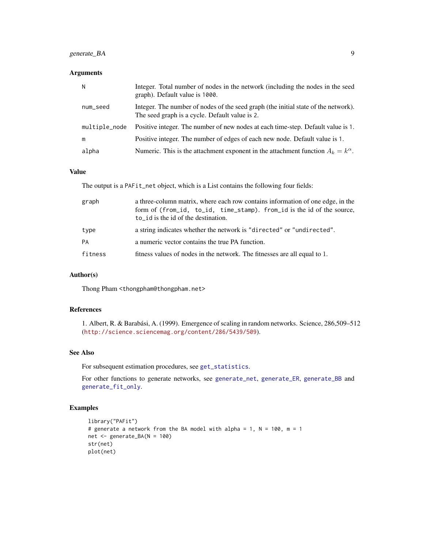# <span id="page-8-0"></span>generate\_BA 9

# Arguments

| N             | Integer. Total number of nodes in the network (including the nodes in the seed<br>graph). Default value is 1000.                     |
|---------------|--------------------------------------------------------------------------------------------------------------------------------------|
| num_seed      | Integer. The number of nodes of the seed graph (the initial state of the network).<br>The seed graph is a cycle. Default value is 2. |
| multiple_node | Positive integer. The number of new nodes at each time-step. Default value is 1.                                                     |
| m             | Positive integer. The number of edges of each new node. Default value is 1.                                                          |
| alpha         | Numeric. This is the attachment exponent in the attachment function $A_k = k^{\alpha}$ .                                             |

# Value

The output is a PAFit\_net object, which is a List contains the following four fields:

| graph   | a three-column matrix, where each row contains information of one edge, in the<br>form of (from_id, to_id, time_stamp). from_id is the id of the source,<br>$to$ id is the id of the destination. |
|---------|---------------------------------------------------------------------------------------------------------------------------------------------------------------------------------------------------|
| type    | a string indicates whether the network is "directed" or "undirected".                                                                                                                             |
| PA      | a numeric vector contains the true PA function.                                                                                                                                                   |
| fitness | fitness values of nodes in the network. The fitnesses are all equal to 1.                                                                                                                         |

# Author(s)

Thong Pham <thongpham@thongpham.net>

# References

1. Albert, R. & Barabási, A. (1999). Emergence of scaling in random networks. Science, 286,509–512 (<http://science.sciencemag.org/content/286/5439/509>).

### See Also

For subsequent estimation procedures, see [get\\_statistics](#page-16-1).

For other functions to generate networks, see [generate\\_net](#page-13-1), [generate\\_ER](#page-10-1), [generate\\_BB](#page-9-1) and [generate\\_fit\\_only](#page-12-1).

# Examples

```
library("PAFit")
# generate a network from the BA model with alpha = 1, N = 100, m = 1
net <- generate_BA(N = 100)
str(net)
plot(net)
```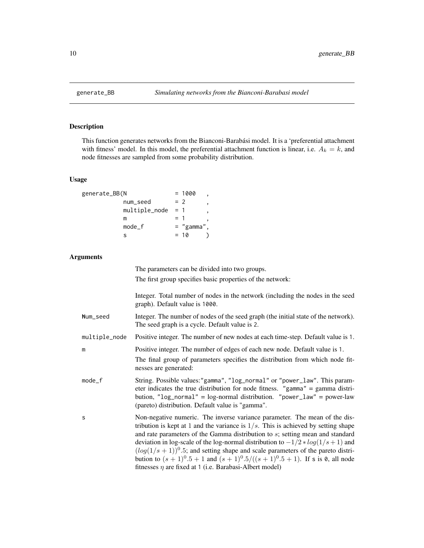<span id="page-9-1"></span><span id="page-9-0"></span>

### **Description**

This function generates networks from the Bianconi-Barabási model. It is a 'preferential attachment with fitness' model. In this model, the preferential attachment function is linear, i.e.  $A_k = k$ , and node fitnesses are sampled from some probability distribution.

#### Usage

| generate_BB(N |               |       | $= 1000$     |  |
|---------------|---------------|-------|--------------|--|
|               | num_seed      | $= 2$ |              |  |
|               | multiple_node | $= 1$ |              |  |
|               | m             | $=$ 1 |              |  |
|               | $mode_f$      |       | $=$ "gamma", |  |
|               |               |       | $= 10$       |  |

#### Arguments

The parameters can be divided into two groups. The first group specifies basic properties of the network: Integer. Total number of nodes in the network (including the nodes in the seed graph). Default value is 1000. Num\_seed Integer. The number of nodes of the seed graph (the initial state of the network). The seed graph is a cycle. Default value is 2. multiple\_node Positive integer. The number of new nodes at each time-step. Default value is 1. m Positive integer. The number of edges of each new node. Default value is 1. The final group of parameters specifies the distribution from which node fitnesses are generated: mode\_f String. Possible values:"gamma", "log\_normal" or "power\_law". This parameter indicates the true distribution for node fitness. "gamma" = gamma distribution, "log\_normal" = log-normal distribution. "power\_law" = power-law (pareto) distribution. Default value is "gamma". s Non-negative numeric. The inverse variance parameter. The mean of the distribution is kept at 1 and the variance is  $1/s$ . This is achieved by setting shape and rate parameters of the Gamma distribution to s; setting mean and standard deviation in log-scale of the log-normal distribution to  $-1/2 * log(1/s + 1)$  and  $(log(1/s + 1))$ <sup>0</sup>.5; and setting shape and scale parameters of the pareto distribution to  $(s + 1)^{0.5} + 1$  and  $(s + 1)^{0.5}/((s + 1)^{0.5} + 1)$ . If s is 0, all node fitnesses  $\eta$  are fixed at 1 (i.e. Barabasi-Albert model)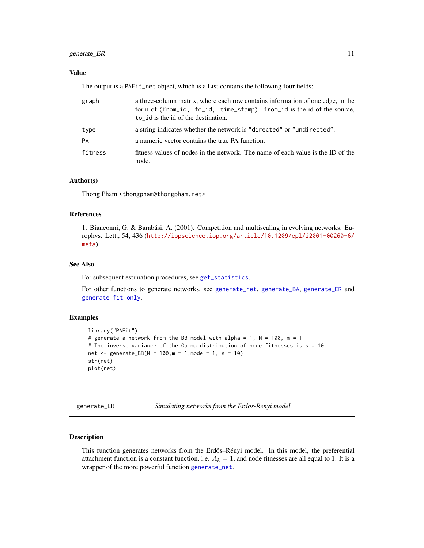# <span id="page-10-0"></span>generate\_ER 11

# Value

The output is a PAFit\_net object, which is a List contains the following four fields:

| graph   | a three-column matrix, where each row contains information of one edge, in the<br>form of (from_id, to_id, time_stamp). from_id is the id of the source,<br>to id is the id of the destination. |
|---------|-------------------------------------------------------------------------------------------------------------------------------------------------------------------------------------------------|
| type    | a string indicates whether the network is "directed" or "undirected".                                                                                                                           |
| PA      | a numeric vector contains the true PA function.                                                                                                                                                 |
| fitness | fitness values of nodes in the network. The name of each value is the ID of the<br>node.                                                                                                        |

# Author(s)

Thong Pham <thongpham@thongpham.net>

# References

1. Bianconni, G. & Barabási, A. (2001). Competition and multiscaling in evolving networks. Europhys. Lett., 54, 436 ([http://iopscience.iop.org/article/10.1209/epl/i2001-00260-6/](http://iopscience.iop.org/article/10.1209/epl/i2001-00260-6/meta) [meta](http://iopscience.iop.org/article/10.1209/epl/i2001-00260-6/meta)).

# See Also

For subsequent estimation procedures, see [get\\_statistics](#page-16-1).

For other functions to generate networks, see [generate\\_net](#page-13-1), [generate\\_BA](#page-7-1), [generate\\_ER](#page-10-1) and [generate\\_fit\\_only](#page-12-1).

### Examples

```
library("PAFit")
# generate a network from the BB model with alpha = 1, N = 100, m = 1
# The inverse variance of the Gamma distribution of node fitnesses is s = 10
net <- generate_BB(N = 100, m = 1, mode = 1, s = 10)
str(net)
plot(net)
```
<span id="page-10-1"></span>generate\_ER *Simulating networks from the Erdos-Renyi model*

### Description

This function generates networks from the Erdős–Rényi model. In this model, the preferential attachment function is a constant function, i.e.  $A_k = 1$ , and node fitnesses are all equal to 1. It is a wrapper of the more powerful function [generate\\_net](#page-13-1).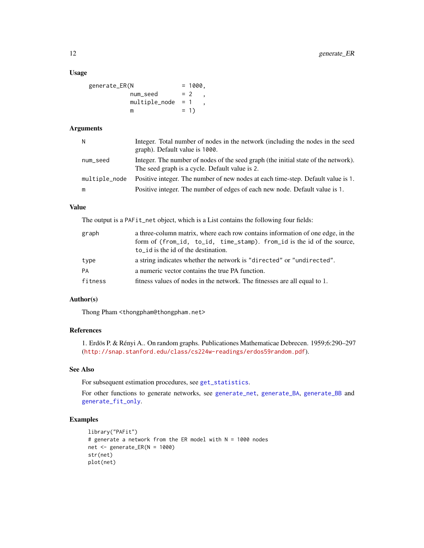# <span id="page-11-0"></span>Usage

| generate_ER(N |                     | $= 1000.$ |
|---------------|---------------------|-----------|
|               | num_seed            | $= 2$     |
|               | $multiple-node = 1$ |           |
|               | m                   | $= 1$     |

# Arguments

| N             | Integer. Total number of nodes in the network (including the nodes in the seed<br>graph). Default value is 1000.                     |
|---------------|--------------------------------------------------------------------------------------------------------------------------------------|
| num_seed      | Integer. The number of nodes of the seed graph (the initial state of the network).<br>The seed graph is a cycle. Default value is 2. |
| multiple_node | Positive integer. The number of new nodes at each time-step. Default value is 1.                                                     |
| m             | Positive integer. The number of edges of each new node. Default value is 1.                                                          |

# Value

The output is a PAFit\_net object, which is a List contains the following four fields:

| graph   | a three-column matrix, where each row contains information of one edge, in the |  |  |  |  |  |
|---------|--------------------------------------------------------------------------------|--|--|--|--|--|
|         | form of (from_id, to_id, time_stamp). from_id is the id of the source,         |  |  |  |  |  |
|         | $to$ id is the id of the destination.                                          |  |  |  |  |  |
| type    | a string indicates whether the network is "directed" or "undirected".          |  |  |  |  |  |
| PA      | a numeric vector contains the true PA function.                                |  |  |  |  |  |
| fitness | fitness values of nodes in the network. The fitnesses are all equal to 1.      |  |  |  |  |  |

# Author(s)

Thong Pham <thongpham@thongpham.net>

# References

1. Erdös P. & Rényi A.. On random graphs. Publicationes Mathematicae Debrecen. 1959;6:290–297 (<http://snap.stanford.edu/class/cs224w-readings/erdos59random.pdf>).

# See Also

For subsequent estimation procedures, see [get\\_statistics](#page-16-1).

For other functions to generate networks, see [generate\\_net](#page-13-1), [generate\\_BA](#page-7-1), [generate\\_BB](#page-9-1) and [generate\\_fit\\_only](#page-12-1).

# Examples

```
library("PAFit")
# generate a network from the ER model with N = 1000 nodes
net <- generate_ER(N = 1000)
str(net)
plot(net)
```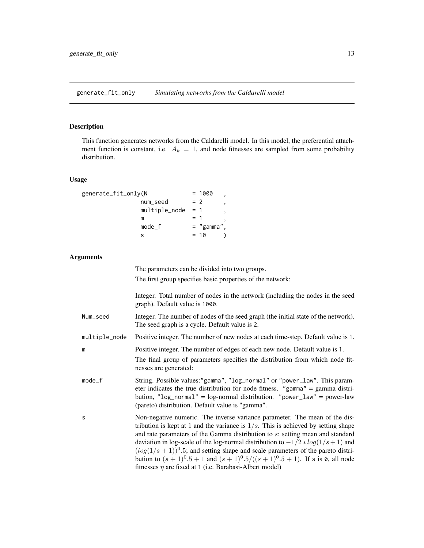<span id="page-12-1"></span><span id="page-12-0"></span>generate\_fit\_only *Simulating networks from the Caldarelli model*

### **Description**

This function generates networks from the Caldarelli model. In this model, the preferential attachment function is constant, i.e.  $A_k = 1$ , and node fitnesses are sampled from some probability distribution.

### Usage

| generate_fit_only(N |               |       | $= 1000$     |  |
|---------------------|---------------|-------|--------------|--|
|                     | num_seed      |       | $= 2$        |  |
|                     | multiple_node | $= 1$ |              |  |
|                     | m             | $=$ 1 |              |  |
|                     | $mode_f$      |       | $=$ "gamma", |  |
|                     |               |       | $= 10$       |  |

#### Arguments

The parameters can be divided into two groups. The first group specifies basic properties of the network:

Integer. Total number of nodes in the network (including the nodes in the seed graph). Default value is 1000.

- Num\_seed Integer. The number of nodes of the seed graph (the initial state of the network). The seed graph is a cycle. Default value is 2.
- multiple\_node Positive integer. The number of new nodes at each time-step. Default value is 1.

m Positive integer. The number of edges of each new node. Default value is 1.

The final group of parameters specifies the distribution from which node fitnesses are generated:

- mode\_f String. Possible values:"gamma", "log\_normal" or "power\_law". This parameter indicates the true distribution for node fitness. "gamma" = gamma distribution, "log\_normal" = log-normal distribution. "power\_law" = power-law (pareto) distribution. Default value is "gamma".
- s Non-negative numeric. The inverse variance parameter. The mean of the distribution is kept at 1 and the variance is  $1/s$ . This is achieved by setting shape and rate parameters of the Gamma distribution to s; setting mean and standard deviation in log-scale of the log-normal distribution to  $-1/2 * log(1/s + 1)$  and  $(log(1/s + 1))$ <sup>0</sup>.5; and setting shape and scale parameters of the pareto distribution to  $(s + 1)^{0.5} + 1$  and  $(s + 1)^{0.5}/((s + 1)^{0.5} + 1)$ . If s is 0, all node fitnesses  $\eta$  are fixed at 1 (i.e. Barabasi-Albert model)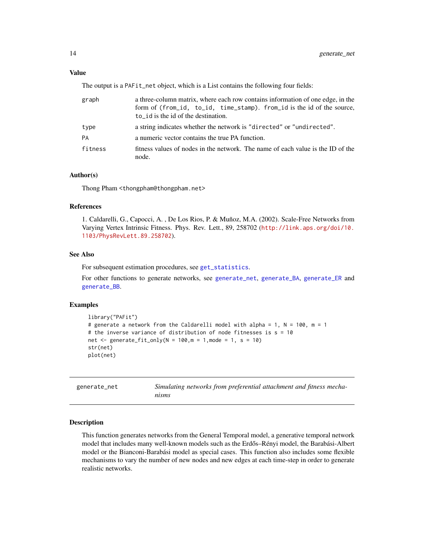# <span id="page-13-0"></span>Value

The output is a PAFit\_net object, which is a List contains the following four fields:

| graph   | a three-column matrix, where each row contains information of one edge, in the<br>form of (from_id, to_id, time_stamp). from_id is the id of the source,<br>$to$ id is the id of the destination. |  |
|---------|---------------------------------------------------------------------------------------------------------------------------------------------------------------------------------------------------|--|
| type    | a string indicates whether the network is "directed" or "undirected".                                                                                                                             |  |
| PA      | a numeric vector contains the true PA function.                                                                                                                                                   |  |
| fitness | fitness values of nodes in the network. The name of each value is the ID of the<br>node.                                                                                                          |  |

# Author(s)

Thong Pham <thongpham@thongpham.net>

#### References

1. Caldarelli, G., Capocci, A. , De Los Rios, P. & Muñoz, M.A. (2002). Scale-Free Networks from Varying Vertex Intrinsic Fitness. Phys. Rev. Lett., 89, 258702 ([http://link.aps.org/doi/10.](http://link.aps.org/doi/10.1103/PhysRevLett.89.258702) [1103/PhysRevLett.89.258702](http://link.aps.org/doi/10.1103/PhysRevLett.89.258702)).

### See Also

For subsequent estimation procedures, see [get\\_statistics](#page-16-1).

For other functions to generate networks, see [generate\\_net](#page-13-1), [generate\\_BA](#page-7-1), [generate\\_ER](#page-10-1) and [generate\\_BB](#page-9-1).

### Examples

```
library("PAFit")
# generate a network from the Caldarelli model with alpha = 1, N = 100, m = 1
# the inverse variance of distribution of node fitnesses is s = 10net \le generate_fit_only(N = 100,m = 1, mode = 1, s = 10)
str(net)
plot(net)
```
<span id="page-13-1"></span>

| generate_net | Simulating networks from preferential attachment and fitness mecha- |
|--------------|---------------------------------------------------------------------|
|              | nisms                                                               |

# Description

This function generates networks from the General Temporal model, a generative temporal network model that includes many well-known models such as the Erdős–Rényi model, the Barabási-Albert model or the Bianconi-Barabási model as special cases. This function also includes some flexible mechanisms to vary the number of new nodes and new edges at each time-step in order to generate realistic networks.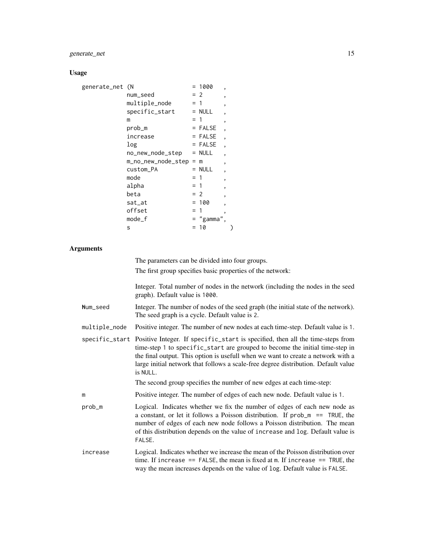# generate\_net 15

### Usage

| generate_net (N |                    |       | $= 1000$<br>,            |  |
|-----------------|--------------------|-------|--------------------------|--|
|                 | num_seed           |       | $= 2$<br>,               |  |
|                 | multiple_node      | $=$ 1 | ,                        |  |
|                 | specific_start     |       | $= NULL$<br>,            |  |
|                 | m                  | $=$ 1 | ,                        |  |
|                 | prob_m             |       | $=$ FALSE<br>,           |  |
|                 | increase           |       | $=$ FALSE<br>,           |  |
|                 | log                |       | $=$ FALSE<br>,           |  |
|                 | no_new_node_step   |       | $= NULL$<br>,            |  |
|                 | m_no_new_node_step |       | $=$ m<br>,               |  |
|                 | custom_PA          |       | $=$ NULL<br>,            |  |
|                 | mode               | $=$ 1 | ,                        |  |
|                 | alpha              | $= 1$ | $\overline{\phantom{a}}$ |  |
|                 | beta               |       | $= 2$<br>,               |  |
|                 | sat_at             |       | $= 100$<br>,             |  |
|                 | offset             | $=$ 1 | ,                        |  |
|                 | mode_f             |       | = "gamma",               |  |
|                 | S                  |       | = 10                     |  |

### **Arguments**

The parameters can be divided into four groups.

The first group specifies basic properties of the network:

Integer. Total number of nodes in the network (including the nodes in the seed graph). Default value is 1000.

- Num\_seed Integer. The number of nodes of the seed graph (the initial state of the network). The seed graph is a cycle. Default value is 2.
- multiple\_node Positive integer. The number of new nodes at each time-step. Default value is 1.
- specific\_start Positive Integer. If specific\_start is specified, then all the time-steps from time-step 1 to specific\_start are grouped to become the initial time-step in the final output. This option is usefull when we want to create a network with a large initial network that follows a scale-free degree distribution. Default value is NULL.

The second group specifies the number of new edges at each time-step:

- m Positive integer. The number of edges of each new node. Default value is 1.
- prob\_m Logical. Indicates whether we fix the number of edges of each new node as a constant, or let it follows a Poisson distribution. If  $prob_m = TRUE$ , the number of edges of each new node follows a Poisson distribution. The mean of this distribution depends on the value of increase and log. Default value is FALSE.
- increase Logical. Indicates whether we increase the mean of the Poisson distribution over time. If increase  $==$  FALSE, the mean is fixed at m. If increase  $==$  TRUE, the way the mean increases depends on the value of log. Default value is FALSE.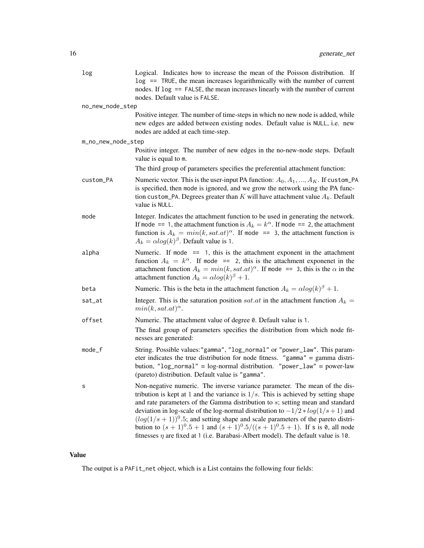| log                | Logical. Indicates how to increase the mean of the Poisson distribution. If<br>$\log$ == TRUE, the mean increases logarithmically with the number of current<br>nodes. If log == FALSE, the mean increases linearly with the number of current<br>nodes. Default value is FALSE.                                                                                                                                                                                                                                                                                                                                                  |
|--------------------|-----------------------------------------------------------------------------------------------------------------------------------------------------------------------------------------------------------------------------------------------------------------------------------------------------------------------------------------------------------------------------------------------------------------------------------------------------------------------------------------------------------------------------------------------------------------------------------------------------------------------------------|
| no_new_node_step   |                                                                                                                                                                                                                                                                                                                                                                                                                                                                                                                                                                                                                                   |
|                    | Positive integer. The number of time-steps in which no new node is added, while<br>new edges are added between existing nodes. Default value is NULL, i.e. new<br>nodes are added at each time-step.                                                                                                                                                                                                                                                                                                                                                                                                                              |
| m_no_new_node_step |                                                                                                                                                                                                                                                                                                                                                                                                                                                                                                                                                                                                                                   |
|                    | Positive integer. The number of new edges in the no-new-node steps. Default<br>value is equal to m.                                                                                                                                                                                                                                                                                                                                                                                                                                                                                                                               |
|                    | The third group of parameters specifies the preferential attachment function:                                                                                                                                                                                                                                                                                                                                                                                                                                                                                                                                                     |
| custom_PA          | Numeric vector. This is the user-input PA function: $A_0, A_1, , A_K$ . If custom_PA<br>is specified, then mode is ignored, and we grow the network using the PA func-<br>tion custom_PA. Degrees greater than $K$ will have attachment value $A_k$ . Default<br>value is NULL.                                                                                                                                                                                                                                                                                                                                                   |
| mode               | Integer. Indicates the attachment function to be used in generating the network.<br>If mode == 1, the attachment function is $A_k = k^{\alpha}$ . If mode == 2, the attachment<br>function is $A_k = min(k, sat.at)^{\alpha}$ . If mode == 3, the attachment function is<br>$A_k = \alpha \log(k)^\beta$ . Default value is 1.                                                                                                                                                                                                                                                                                                    |
| alpha              | Numeric. If mode $== 1$ , this is the attachment exponent in the attachment<br>function $A_k = k^{\alpha}$ . If mode == 2, this is the attachment exponenet in the<br>attachment function $A_k = min(k, sat.at)^{\alpha}$ . If mode == 3, this is the $\alpha$ in the<br>attachment function $A_k = \alpha \log(k)^{\beta} + 1$ .                                                                                                                                                                                                                                                                                                 |
| beta               | Numeric. This is the beta in the attachment function $A_k = \alpha \log(k)^\beta + 1$ .                                                                                                                                                                                                                                                                                                                                                                                                                                                                                                                                           |
| sat_at             | Integer. This is the saturation position <i>sat.at</i> in the attachment function $A_k =$<br>$min(k, sat.at)^{\alpha}$ .                                                                                                                                                                                                                                                                                                                                                                                                                                                                                                          |
| offset             | Numeric. The attachment value of degree 0. Default value is 1.<br>The final group of parameters specifies the distribution from which node fit-<br>nesses are generated:                                                                                                                                                                                                                                                                                                                                                                                                                                                          |
| mode_f             | String. Possible values:"gamma", "log_normal" or "power_law". This param-<br>eter indicates the true distribution for node fitness. "gamma" = gamma distri-<br>bution, " $log\_normal$ " = $log-normal$ distribution. "power_ $law$ " = power-law<br>(pareto) distribution. Default value is "gamma".                                                                                                                                                                                                                                                                                                                             |
| s                  | Non-negative numeric. The inverse variance parameter. The mean of the dis-<br>tribution is kept at 1 and the variance is $1/s$ . This is achieved by setting shape<br>and rate parameters of the Gamma distribution to $s$ ; setting mean and standard<br>deviation in log-scale of the log-normal distribution to $-1/2 * log(1/s + 1)$ and<br>$(log(1/s + 1))$ <sup>0</sup> .5; and setting shape and scale parameters of the pareto distri-<br>bution to $(s + 1)^0.5 + 1$ and $(s + 1)^0.5/((s + 1)^0.5 + 1)$ . If s is 0, all node<br>fitnesses $\eta$ are fixed at 1 (i.e. Barabasi-Albert model). The default value is 10. |

# Value

The output is a PAFit\_net object, which is a List contains the following four fields: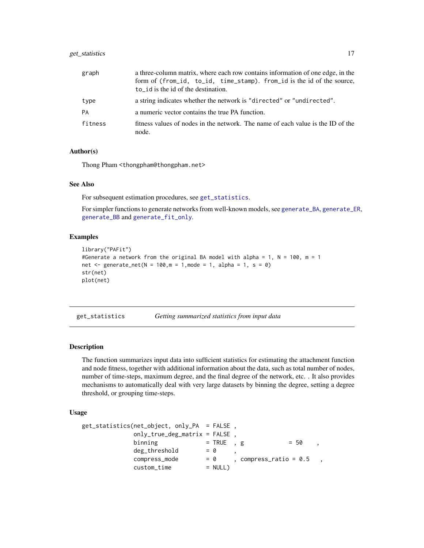# <span id="page-16-0"></span>get\_statistics 17

| graph   | a three-column matrix, where each row contains information of one edge, in the           |
|---------|------------------------------------------------------------------------------------------|
|         | form of (from_id, to_id, time_stamp). from_id is the id of the source,                   |
|         | $to$ id is the id of the destination.                                                    |
| type    | a string indicates whether the network is "directed" or "undirected".                    |
| PA      | a numeric vector contains the true PA function.                                          |
| fitness | fitness values of nodes in the network. The name of each value is the ID of the<br>node. |

### Author(s)

Thong Pham <thongpham@thongpham.net>

#### See Also

For subsequent estimation procedures, see [get\\_statistics](#page-16-1).

For simpler functions to generate networks from well-known models, see [generate\\_BA](#page-7-1), [generate\\_ER](#page-10-1), [generate\\_BB](#page-9-1) and [generate\\_fit\\_only](#page-12-1).

### Examples

```
library("PAFit")
#Generate a network from the original BA model with alpha = 1, N = 100, m = 1net <- generate_net(N = 100, m = 1, mode = 1, alpha = 1, s = 0)
str(net)
plot(net)
```
<span id="page-16-1"></span>get\_statistics *Getting summarized statistics from input data*

#### Description

The function summarizes input data into sufficient statistics for estimating the attachment function and node fitness, together with additional information about the data, such as total number of nodes, number of time-steps, maximum degree, and the final degree of the network, etc. . It also provides mechanisms to automatically deal with very large datasets by binning the degree, setting a degree threshold, or grouping time-steps.

### Usage

```
get_statistics(net_object, only_PA = FALSE ,
           only_true_deg_matrix = FALSE ,
           binning = TRUE , g = 50 ,
           deg_{\text{threshold}} = 0
           compress\_mode = 0 , compress\_mode, , , )custom_time = NULL)
```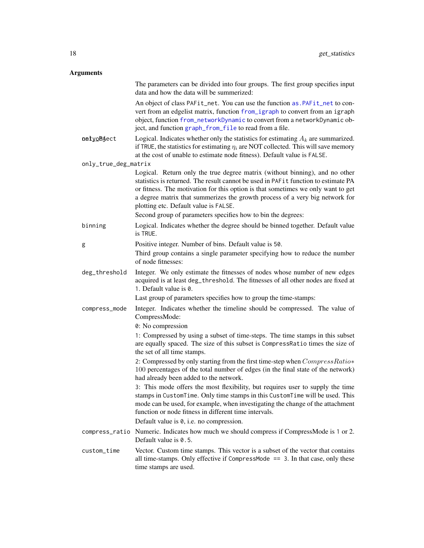# <span id="page-17-0"></span>Arguments

|                      | The parameters can be divided into four groups. The first group specifies input<br>data and how the data will be summerized:                                                                                                                                                                                                                                                   |
|----------------------|--------------------------------------------------------------------------------------------------------------------------------------------------------------------------------------------------------------------------------------------------------------------------------------------------------------------------------------------------------------------------------|
|                      | An object of class PAFit_net. You can use the function as. PAFit_net to con-<br>vert from an edgelist matrix, function from_igraph to convert from an igraph<br>object, function from_networkDynamic to convert from a networkDynamic ob-<br>ject, and function graph_from_file to read from a file.                                                                           |
| oetyoBaect           | Logical. Indicates whether only the statistics for estimating $A_k$ are summarized.<br>if TRUE, the statistics for estimating $\eta_i$ are NOT collected. This will save memory<br>at the cost of unable to estimate node fitness). Default value is FALSE.                                                                                                                    |
| only_true_deg_matrix |                                                                                                                                                                                                                                                                                                                                                                                |
|                      | Logical. Return only the true degree matrix (without binning), and no other<br>statistics is returned. The result cannot be used in PAF1t function to estimate PA<br>or fitness. The motivation for this option is that sometimes we only want to get<br>a degree matrix that summerizes the growth process of a very big network for<br>plotting etc. Default value is FALSE. |
|                      | Second group of parameters specifies how to bin the degrees:                                                                                                                                                                                                                                                                                                                   |
| binning              | Logical. Indicates whether the degree should be binned together. Default value<br>is TRUE.                                                                                                                                                                                                                                                                                     |
| g                    | Positive integer. Number of bins. Default value is 50.                                                                                                                                                                                                                                                                                                                         |
|                      | Third group contains a single parameter specifying how to reduce the number<br>of node fitnesses:                                                                                                                                                                                                                                                                              |
| deg_threshold        | Integer. We only estimate the fitnesses of nodes whose number of new edges<br>acquired is at least deg_threshold. The fitnesses of all other nodes are fixed at<br>1. Default value is 0.                                                                                                                                                                                      |
|                      | Last group of parameters specifies how to group the time-stamps:                                                                                                                                                                                                                                                                                                               |
| compress_mode        | Integer. Indicates whether the timeline should be compressed. The value of<br>CompressMode:                                                                                                                                                                                                                                                                                    |
|                      | 0: No compression                                                                                                                                                                                                                                                                                                                                                              |
|                      | 1: Compressed by using a subset of time-steps. The time stamps in this subset<br>are equally spaced. The size of this subset is CompressRatio times the size of<br>the set of all time stamps.                                                                                                                                                                                 |
|                      | 2: Compressed by only starting from the first time-step when CompressRatio*<br>100 percentages of the total number of edges (in the final state of the network)<br>had already been added to the network.                                                                                                                                                                      |
|                      | 3: This mode offers the most flexibility, but requires user to supply the time<br>stamps in CustomTime. Only time stamps in this CustomTime will be used. This<br>mode can be used, for example, when investigating the change of the attachment<br>function or node fitness in different time intervals.                                                                      |
|                      | Default value is 0, i.e. no compression.                                                                                                                                                                                                                                                                                                                                       |
| compress_ratio       | Numeric. Indicates how much we should compress if CompressMode is 1 or 2.<br>Default value is 0.5.                                                                                                                                                                                                                                                                             |
| custom_time          | Vector. Custom time stamps. This vector is a subset of the vector that contains<br>all time-stamps. Only effective if CompressMode $==$ 3. In that case, only these<br>time stamps are used.                                                                                                                                                                                   |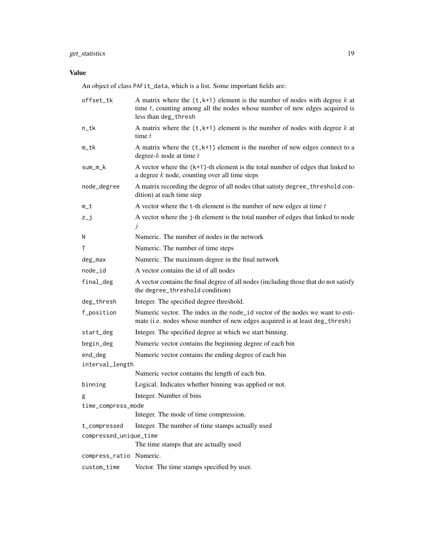# get\_statistics 19

# Value

An object of class PAFit\_data, which is a list. Some important fields are:

| offset_tk                                                    | A matrix where the $(t, k+1)$ element is the number of nodes with degree k at<br>time $t$ , counting among all the nodes whose number of new edges acquired is<br>less than deg_thresh |
|--------------------------------------------------------------|----------------------------------------------------------------------------------------------------------------------------------------------------------------------------------------|
| n_tk                                                         | A matrix where the $(t, k+1)$ element is the number of nodes with degree k at<br>time $t$                                                                                              |
| m_tk                                                         | A matrix where the $(t, k+1)$ element is the number of new edges connect to a<br>degree- $k$ node at time $t$                                                                          |
| sum_m_k                                                      | A vector where the $(k+1)$ -th element is the total number of edges that linked to<br>a degree $k$ node, counting over all time steps                                                  |
| node_degree                                                  | A matrix recording the degree of all nodes (that satisty degree_threshold con-<br>dition) at each time step                                                                            |
| $m_t$                                                        | A vector where the $t$ -th element is the number of new edges at time $t$                                                                                                              |
| $z_{-}j$                                                     | A vector where the j-th element is the total number of edges that linked to node<br>$\dot{j}$                                                                                          |
| N                                                            | Numeric. The number of nodes in the network                                                                                                                                            |
| т                                                            | Numeric. The number of time steps                                                                                                                                                      |
| deg_max                                                      | Numeric. The maximum degree in the final network                                                                                                                                       |
| node_id                                                      | A vector contains the id of all nodes                                                                                                                                                  |
| final_deg                                                    | A vector contains the final degree of all nodes (including those that do not satisfy<br>the degree_threshold condition)                                                                |
| deg_thresh                                                   | Integer. The specified degree threshold.                                                                                                                                               |
| f_position                                                   | Numeric vector. The index in the node_id vector of the nodes we want to esti-<br>mate (i.e. nodes whose number of new edges acquired is at least deg_thresh)                           |
| start_deg                                                    | Integer. The specified degree at which we start binning.                                                                                                                               |
| begin_deg                                                    | Numeric vector contains the beginning degree of each bin                                                                                                                               |
| end_deg                                                      | Numeric vector contains the ending degree of each bin                                                                                                                                  |
| interval_length                                              |                                                                                                                                                                                        |
|                                                              | Numeric vector contains the length of each bin.                                                                                                                                        |
| binning                                                      | Logical. Indicates whether binning was applied or not.                                                                                                                                 |
| g                                                            | Integer. Number of bins                                                                                                                                                                |
| time_compress_mode<br>Integer. The mode of time compression. |                                                                                                                                                                                        |
| t_compressed                                                 | Integer. The number of time stamps actually used                                                                                                                                       |
| compressed_unique_time                                       |                                                                                                                                                                                        |
|                                                              | The time stamps that are actually used                                                                                                                                                 |
| compress_ratio Numeric.                                      |                                                                                                                                                                                        |
| custom_time                                                  | Vector. The time stamps specified by user.                                                                                                                                             |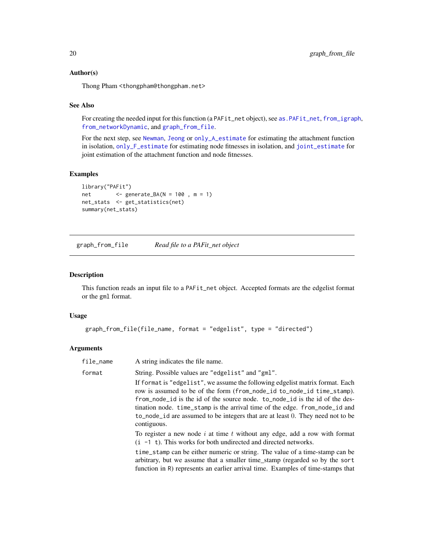### <span id="page-19-0"></span>Author(s)

Thong Pham <thongpham@thongpham.net>

### See Also

For creating the needed input for this function (a PAFit\_net object), see [as.PAFit\\_net](#page-4-1), [from\\_igraph](#page-6-1), [from\\_networkDynamic](#page-7-2), and [graph\\_from\\_file](#page-19-1).

For the next step, see [Newman](#page-26-1), [Jeong](#page-21-1) or [only\\_A\\_estimate](#page-27-1) for estimating the attachment function in isolation, [only\\_F\\_estimate](#page-30-1) for estimating node fitnesses in isolation, and [joint\\_estimate](#page-23-1) for joint estimation of the attachment function and node fitnesses.

### Examples

```
library("PAFit")
net <- generate_BA(N = 100 , m = 1)
net_stats <- get_statistics(net)
summary(net_stats)
```
<span id="page-19-1"></span>graph\_from\_file *Read file to a PAFit\_net object*

# Description

This function reads an input file to a PAFit\_net object. Accepted formats are the edgelist format or the gml format.

#### Usage

```
graph_from_file(file_name, format = "edgelist", type = "directed")
```
### **Arguments**

| file_name | A string indicates the file name.                                                                                                                                                                                                                                                                                                                                                                                      |
|-----------|------------------------------------------------------------------------------------------------------------------------------------------------------------------------------------------------------------------------------------------------------------------------------------------------------------------------------------------------------------------------------------------------------------------------|
| format    | String. Possible values are "edgelist" and "gml".                                                                                                                                                                                                                                                                                                                                                                      |
|           | If format is "edgelist", we assume the following edgelist matrix format. Each<br>row is assumed to be of the form (from_node_id to_node_id time_stamp).<br>from_node_id is the id of the source node. to_node_id is the id of the des-<br>tination node. time_stamp is the arrival time of the edge. from_node_id and<br>to_node_id are assumed to be integers that are at least 0. They need not to be<br>contiguous. |
|           | To register a new node $i$ at time $t$ without any edge, add a row with format<br>$(i - 1 t)$ . This works for both undirected and directed networks.                                                                                                                                                                                                                                                                  |
|           | time_stamp can be either numeric or string. The value of a time-stamp can be<br>arbitrary, but we assume that a smaller time_stamp (regarded so by the sort<br>function in R) represents an earlier arrival time. Examples of time-stamps that                                                                                                                                                                         |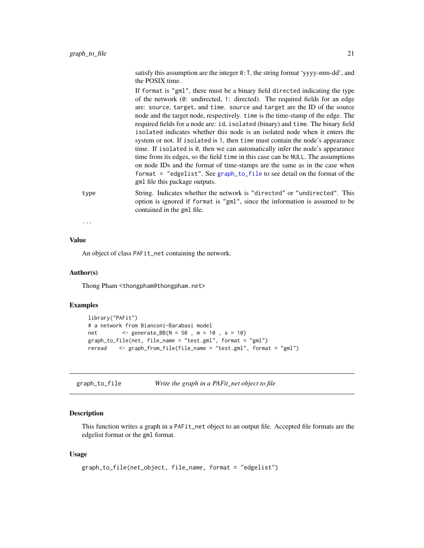<span id="page-20-0"></span>satisfy this assumption are the integer  $\theta$ : T, the string format 'yyyy-mm-dd', and the POSIX time.

If format is "gml", there must be a binary field directed indicating the type of the network (0: undirected, 1: directed). The required fields for an edge are: source, target, and time. source and target are the ID of the source node and the target node, respectively. time is the time-stamp of the edge. The required fields for a node are: id, isolated (binary) and time. The binary field isolated indicates whether this node is an isolated node when it enters the system or not. If isolated is 1, then time must contain the node's appearance time. If isolated is 0, then we can automatically infer the node's appearance time from its edges, so the field time in this case can be NULL. The assumptions on node IDs and the format of time-stamps are the same as in the case when format = "edgelist". See [graph\\_to\\_file](#page-20-1) to see detail on the format of the gml file this package outputs.

type String. Indicates whether the network is "directed" or "undirected". This option is ignored if format is "gml", since the information is assumed to be contained in the gml file.

...

# Value

An object of class PAFit\_net containing the network.

### Author(s)

Thong Pham <thongpham@thongpham.net>

### Examples

```
library("PAFit")
# a network from Bianconi-Barabasi model
net <- generate_BB(N = 50 , m = 10 , s = 10)
graph_to_file(net, file_name = "test.gml", format = "gml")
reread <- graph_from_file(file_name = "test.gml", format = "gml")
```
<span id="page-20-1"></span>graph\_to\_file *Write the graph in a PAFit\_net object to file*

#### **Description**

This function writes a graph in a PAFit\_net object to an output file. Accepted file formats are the edgelist format or the gml format.

# Usage

```
graph_to_file(net_object, file_name, format = "edgelist")
```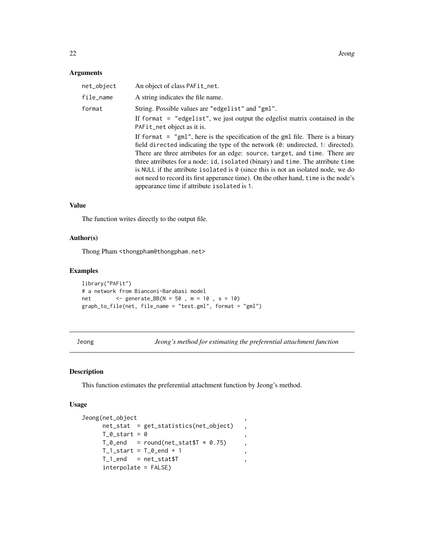# <span id="page-21-0"></span>Arguments

| net_object | An object of class PAFit_net.                                                                                                                                                                                                                                                                                                                                                                                                                                                                                                                                            |
|------------|--------------------------------------------------------------------------------------------------------------------------------------------------------------------------------------------------------------------------------------------------------------------------------------------------------------------------------------------------------------------------------------------------------------------------------------------------------------------------------------------------------------------------------------------------------------------------|
| file_name  | A string indicates the file name.                                                                                                                                                                                                                                                                                                                                                                                                                                                                                                                                        |
| format     | String. Possible values are "edgelist" and "gml".<br>If format = "edgelist", we just output the edgelist matrix contained in the<br>PAFit_net object as it is.                                                                                                                                                                                                                                                                                                                                                                                                           |
|            | If format $=$ "gml", here is the specification of the gml file. There is a binary<br>field directed indicating the type of the network (0: undirected, 1: directed).<br>There are three attributes for an edge: source, target, and time. There are<br>three attributes for a node: id, isolated (binary) and time. The attribute time<br>is NULL if the attribute isolated is $\theta$ (since this is not an isolated node, we do<br>not need to record its first apperance time). On the other hand, time is the node's<br>appearance time if attribute isolated is 1. |

# Value

The function writes directly to the output file.

# Author(s)

Thong Pham <thongpham@thongpham.net>

# Examples

```
library("PAFit")
# a network from Bianconi-Barabasi model
net <- generate_BB(N = 50 , m = 10 , s = 10)
graph_to_file(net, file_name = "test.gml", format = "gml")
```
<span id="page-21-1"></span>Jeong *Jeong's method for estimating the preferential attachment function*

# Description

This function estimates the preferential attachment function by Jeong's method.

# Usage

```
Jeong(net_object ,
    net_stat = get_statistics(net_object) ,
    T_0_start = 0
    T_0 end = round(net_stat$T * 0.75),
    T_1_stat = T_0_end + 1,
    T_1 end = net_stat$T ,
    interpolate = FALSE)
```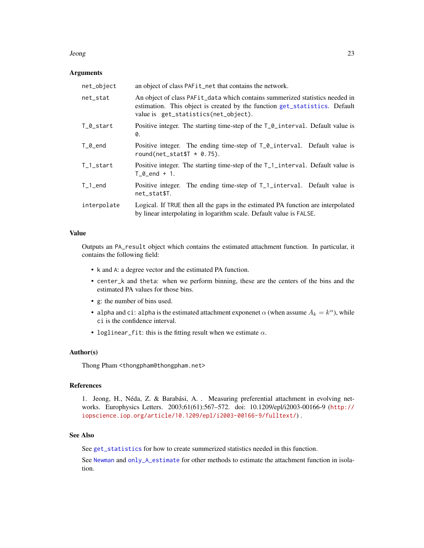#### <span id="page-22-0"></span>Jeong 23

### Arguments

| net_object             | an object of class PAFit_net that contains the network.                                                                                                                                                        |
|------------------------|----------------------------------------------------------------------------------------------------------------------------------------------------------------------------------------------------------------|
| net_stat               | An object of class PAF <sub>it</sub> data which contains summerized statistics needed in<br>estimation. This object is created by the function get_statistics. Default<br>value is get_statistics(net_object). |
| T_0_start              | Positive integer. The starting time-step of the $T_{\text{o}}$ interval. Default value is<br>0.                                                                                                                |
| $T_0$ _end             | Positive integer. The ending time-step of T_0_interval. Default value is<br>round(net_stat\$ $T * 0.75$ ).                                                                                                     |
| $T_1_$ start           | Positive integer. The starting time-step of the T <sub>1</sub> 1_interval. Default value is<br>$T \theta$ end + 1.                                                                                             |
| $T_1$ <sub>_</sub> end | Positive integer. The ending time-step of T <sub>1</sub> -interval. Default value is<br>net_stat\$T.                                                                                                           |
| interpolate            | Logical. If TRUE then all the gaps in the estimated PA function are interpolated<br>by linear interpolating in logarithm scale. Default value is FALSE.                                                        |

### Value

Outputs an PA\_result object which contains the estimated attachment function. In particular, it contains the following field:

- k and A: a degree vector and the estimated PA function.
- center\_k and theta: when we perform binning, these are the centers of the bins and the estimated PA values for those bins.
- g: the number of bins used.
- alpha and ci: alpha is the estimated attachment exponenet  $\alpha$  (when assume  $A_k = k^{\alpha}$ ), while ci is the confidence interval.
- loglinear\_fit: this is the fitting result when we estimate  $\alpha$ .

#### Author(s)

Thong Pham <thongpham@thongpham.net>

# References

1. Jeong, H., Néda, Z. & Barabási, A. . Measuring preferential attachment in evolving networks. Europhysics Letters. 2003;61(61):567–572. doi: 10.1209/epl/i2003-00166-9 ([http://](http://iopscience.iop.org/article/10.1209/epl/i2003-00166-9/fulltext/) [iopscience.iop.org/article/10.1209/epl/i2003-00166-9/fulltext/](http://iopscience.iop.org/article/10.1209/epl/i2003-00166-9/fulltext/)) .

# See Also

See [get\\_statistics](#page-16-1) for how to create summerized statistics needed in this function.

See [Newman](#page-26-1) and [only\\_A\\_estimate](#page-27-1) for other methods to estimate the attachment function in isolation.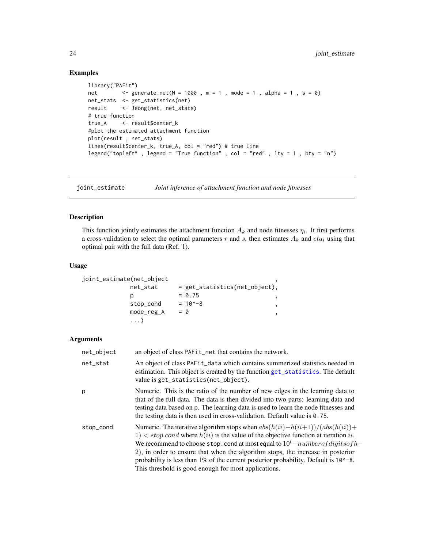# Examples

```
library("PAFit")
net <- generate_net(N = 1000, m = 1, mode = 1, alpha = 1, s = 0)
net_stats <- get_statistics(net)
result <- Jeong(net, net_stats)
# true function
true_A <- result$center_k
#plot the estimated attachment function
plot(result , net_stats)
lines(result$center_k, true_A, col = "red") # true line
legend("topleft" , legend = "True function" , col = "red" , lty = 1 , bty = "n")
```
<span id="page-23-1"></span>joint\_estimate *Joint inference of attachment function and node fitnesses*

# Description

This function jointly estimates the attachment function  $A_k$  and node fitnesses  $\eta_i$ . It first performs a cross-validation to select the optimal parameters r and s, then estimates  $A_k$  and  $eta_i$  using that optimal pair with the full data (Ref. 1).

# Usage

```
joint_estimate(net_object ,
```

| net_stat   | $=$ get_statistics(net_object), |
|------------|---------------------------------|
|            | $= 0.75$                        |
| stop_cond  | $= 10^{\circ} - 8$              |
| mode_reg_A | $= 0$                           |
| . )        |                                 |

### Arguments

| net_object | an object of class PAF <sub>it</sub> net that contains the network.                                                                                                                                                                                                                                                                                                                                                                                                                              |
|------------|--------------------------------------------------------------------------------------------------------------------------------------------------------------------------------------------------------------------------------------------------------------------------------------------------------------------------------------------------------------------------------------------------------------------------------------------------------------------------------------------------|
| net_stat   | An object of class PAFit_data which contains summerized statistics needed in<br>estimation. This object is created by the function get_statistics. The default<br>value is get_statistics(net_object).                                                                                                                                                                                                                                                                                           |
| p          | Numeric. This is the ratio of the number of new edges in the learning data to<br>that of the full data. The data is then divided into two parts: learning data and<br>testing data based on p. The learning data is used to learn the node fitnesses and<br>the testing data is then used in cross-validation. Default value is $0.75$ .                                                                                                                                                         |
| stop_cond  | Numeric. The iterative algorithm stops when $abs(h(ii) - h(ii+1))/(abs(h(ii)) +$<br>$1)$ < stop.cond where $h(ii)$ is the value of the objective function at iteration ii.<br>We recommend to choose stop. cond at most equal to $10^(-number of digits of h-$<br>2), in order to ensure that when the algorithm stops, the increase in posterior<br>probability is less than 1% of the current posterior probability. Default is 10^-8.<br>This threshold is good enough for most applications. |

<span id="page-23-0"></span>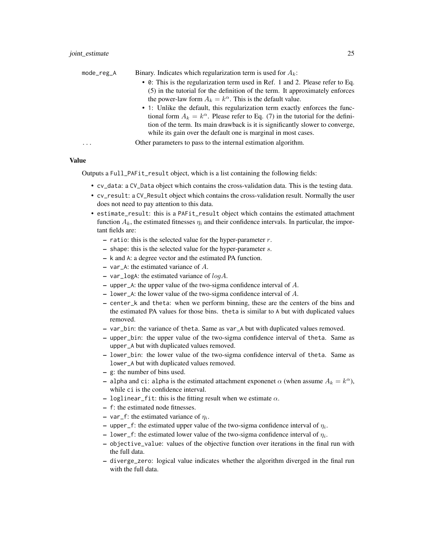| mode_reg_A | Binary. Indicates which regularization term is used for $A_k$ :                          |
|------------|------------------------------------------------------------------------------------------|
|            | • 0: This is the regularization term used in Ref. 1 and 2. Please refer to Eq.           |
|            | (5) in the tutorial for the definition of the term. It approximately enforces            |
|            | the power-law form $A_k = k^{\alpha}$ . This is the default value.                       |
|            | • 1: Unlike the default, this regularization term exactly enforces the func-             |
|            | tional form $A_k = k^{\alpha}$ . Please refer to Eq. (7) in the tutorial for the defini- |
|            | tion of the term. Its main drawback is it is significantly slower to converge,           |
|            | while its gain over the default one is marginal in most cases.                           |
| .          | Other parameters to pass to the internal estimation algorithm.                           |

Value

Outputs a Full\_PAFit\_result object, which is a list containing the following fields:

- cv\_data: a CV\_Data object which contains the cross-validation data. This is the testing data.
- cv\_result: a CV\_Result object which contains the cross-validation result. Normally the user does not need to pay attention to this data.
- estimate\_result: this is a PAFit\_result object which contains the estimated attachment function  $A_k$ , the estimated fitnesses  $\eta_i$  and their confidence intervals. In particular, the important fields are:
	- ratio: this is the selected value for the hyper-parameter  $r$ .
	- $-$  shape: this is the selected value for the hyper-parameter  $s$ .
	- k and A: a degree vector and the estimated PA function.
	- var\_A: the estimated variance of A.
	- var\_logA: the estimated variance of  $log A$ .
	- upper  $A$ : the upper value of the two-sigma confidence interval of  $A$ .
	- lower\_A: the lower value of the two-sigma confidence interval of A.
	- center\_k and theta: when we perform binning, these are the centers of the bins and the estimated PA values for those bins. theta is similar to A but with duplicated values removed.
	- var\_bin: the variance of theta. Same as var\_A but with duplicated values removed.
	- upper\_bin: the upper value of the two-sigma confidence interval of theta. Same as upper\_A but with duplicated values removed.
	- lower\_bin: the lower value of the two-sigma confidence interval of theta. Same as lower\_A but with duplicated values removed.
	- g: the number of bins used.
	- alpha and ci: alpha is the estimated attachment exponenet  $\alpha$  (when assume  $A_k = k^{\alpha}$ ), while ci is the confidence interval.
	- loglinear fit: this is the fitting result when we estimate  $\alpha$ .
	- f: the estimated node fitnesses.
	- $-$  var\_f: the estimated variance of  $\eta_i$ .
	- upper\_f: the estimated upper value of the two-sigma confidence interval of  $\eta_i$ .
	- lower\_f: the estimated lower value of the two-sigma confidence interval of  $\eta_i$ .
	- objective\_value: values of the objective function over iterations in the final run with the full data.
	- diverge\_zero: logical value indicates whether the algorithm diverged in the final run with the full data.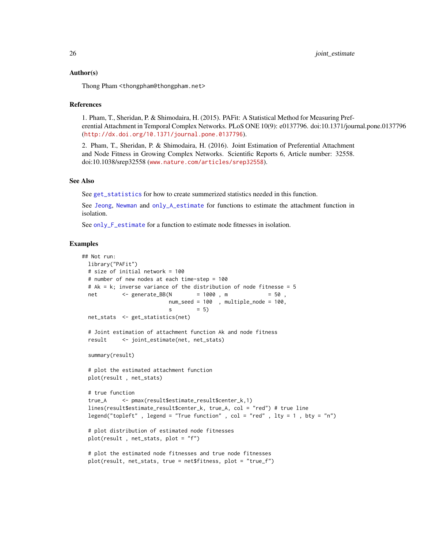### <span id="page-25-0"></span>Author(s)

Thong Pham <thongpham@thongpham.net>

### References

1. Pham, T., Sheridan, P. & Shimodaira, H. (2015). PAFit: A Statistical Method for Measuring Preferential Attachment in Temporal Complex Networks. PLoS ONE 10(9): e0137796. doi:10.1371/journal.pone.0137796 (<http://dx.doi.org/10.1371/journal.pone.0137796>).

2. Pham, T., Sheridan, P. & Shimodaira, H. (2016). Joint Estimation of Preferential Attachment and Node Fitness in Growing Complex Networks. Scientific Reports 6, Article number: 32558. doi:10.1038/srep32558 (<www.nature.com/articles/srep32558>).

# See Also

See [get\\_statistics](#page-16-1) for how to create summerized statistics needed in this function.

See [Jeong](#page-21-1), [Newman](#page-26-1) and [only\\_A\\_estimate](#page-27-1) for functions to estimate the attachment function in isolation.

See [only\\_F\\_estimate](#page-30-1) for a function to estimate node fitnesses in isolation.

# Examples

```
## Not run:
 library("PAFit")
 # size of initial network = 100
 # number of new nodes at each time-step = 100
 # Ak = k; inverse variance of the distribution of node fitnesse = 5net <- generate_BB(N = 1000 , m = 50 ,
                          num_seed = 100 , multiple_node = 100,
                          s = 5)
 net_stats <- get_statistics(net)
 # Joint estimation of attachment function Ak and node fitness
 result <- joint_estimate(net, net_stats)
 summary(result)
 # plot the estimated attachment function
 plot(result , net_stats)
 # true function
 true_A <- pmax(result$estimate_result$center_k,1)
 lines(result$estimate_result$center_k, true_A, col = "red") # true line
 legend("topleft", legend = "True function", col = "red", lty = 1, bty = "n")
 # plot distribution of estimated node fitnesses
 plot(result , net_stats, plot = "f")
 # plot the estimated node fitnesses and true node fitnesses
 plot(result, net_stats, true = net$fitness, plot = "true_f")
```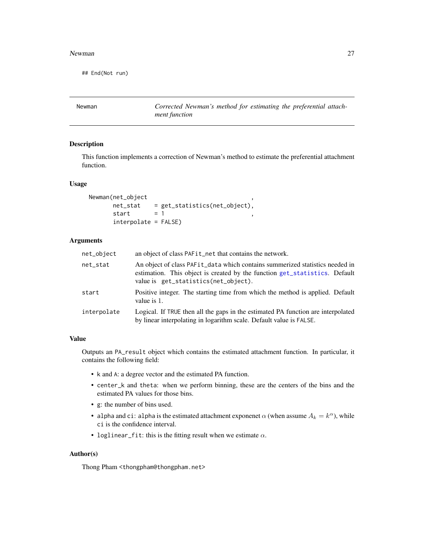#### <span id="page-26-0"></span>Newman 27

## End(Not run)

<span id="page-26-1"></span>Newman *Corrected Newman's method for estimating the preferential attachment function*

# Description

This function implements a correction of Newman's method to estimate the preferential attachment function.

#### Usage

```
Newman(net_object ,
      net_stat = get_statistics(net_object),
      start = 1interpolate = FALSE)
```
### **Arguments**

| net_object  | an object of class PAFit_net that contains the network.                                                                                                                                                        |
|-------------|----------------------------------------------------------------------------------------------------------------------------------------------------------------------------------------------------------------|
| net stat    | An object of class PAF <sub>it</sub> data which contains summerized statistics needed in<br>estimation. This object is created by the function get_statistics. Default<br>value is get_statistics(net_object). |
| start       | Positive integer. The starting time from which the method is applied. Default<br>value is 1.                                                                                                                   |
| interpolate | Logical. If TRUE then all the gaps in the estimated PA function are interpolated<br>by linear interpolating in logarithm scale. Default value is FALSE.                                                        |

# Value

Outputs an PA\_result object which contains the estimated attachment function. In particular, it contains the following field:

- k and A: a degree vector and the estimated PA function.
- center\_k and theta: when we perform binning, these are the centers of the bins and the estimated PA values for those bins.
- g: the number of bins used.
- alpha and ci: alpha is the estimated attachment exponenet  $\alpha$  (when assume  $A_k = k^{\alpha}$ ), while ci is the confidence interval.
- loglinear\_fit: this is the fitting result when we estimate  $\alpha$ .

# Author(s)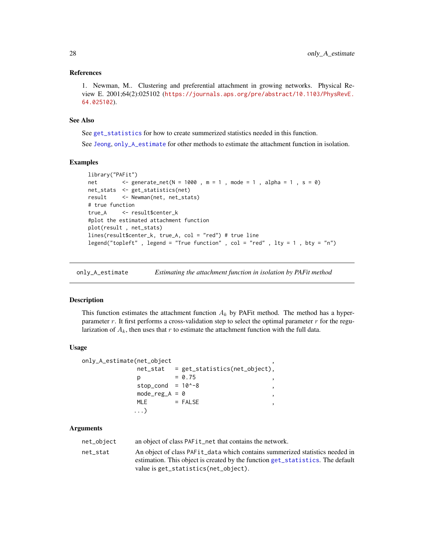### <span id="page-27-0"></span>References

1. Newman, M.. Clustering and preferential attachment in growing networks. Physical Review E. 2001;64(2):025102 ([https://journals.aps.org/pre/abstract/10.1103/PhysRevE.](https://journals.aps.org/pre/abstract/10.1103/PhysRevE.64.025102) [64.025102](https://journals.aps.org/pre/abstract/10.1103/PhysRevE.64.025102)).

### See Also

See [get\\_statistics](#page-16-1) for how to create summerized statistics needed in this function. See [Jeong](#page-21-1), [only\\_A\\_estimate](#page-27-1) for other methods to estimate the attachment function in isolation.

#### Examples

```
library("PAFit")
net <- generate_net(N = 1000, m = 1, mode = 1, alpha = 1, s = 0)
net_stats <- get_statistics(net)
result <- Newman(net, net_stats)
# true function
true_A <- result$center_k
#plot the estimated attachment function
plot(result , net_stats)
lines(result$center_k, true_A, col = "red") # true line
legend("topleft" , legend = "True function" , col = "red" , lty = 1 , bty = "n")
```
<span id="page-27-1"></span>only\_A\_estimate *Estimating the attachment function in isolation by PAFit method*

# Description

This function estimates the attachment function  $A_k$  by PAFit method. The method has a hyperparameter r. It first performs a cross-validation step to select the optimal parameter  $r$  for the regularization of  $A_k$ , then uses that r to estimate the attachment function with the full data.

#### Usage

```
only_A_estimate(net_object ,
             net_stat = get_statistics(net_object),
             p = 0.75stop_cond = 10^{\circ} - 8mode_{reg\_A} = 0,
            MLE = FALSE
            ...)
```
#### Arguments

| net_object | an object of class PAF <sub>it</sub> net that contains the network.                      |
|------------|------------------------------------------------------------------------------------------|
| net stat   | An object of class PAF <sub>it</sub> data which contains summerized statistics needed in |
|            | estimation. This object is created by the function get_statistics. The default           |
|            | value is get_statistics(net_object).                                                     |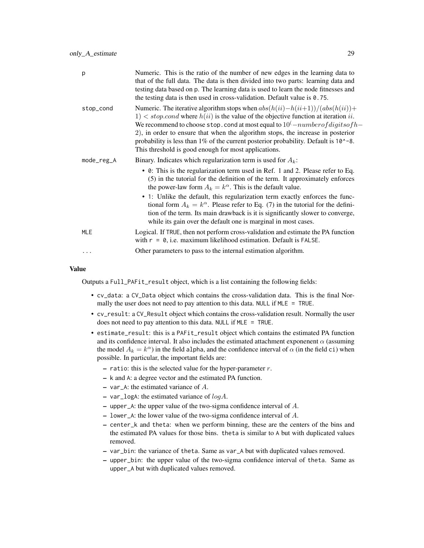| p          | Numeric. This is the ratio of the number of new edges in the learning data to<br>that of the full data. The data is then divided into two parts: learning data and<br>testing data based on p. The learning data is used to learn the node fitnesses and<br>the testing data is then used in cross-validation. Default value is $0.75$ .                                                                                                                                                                       |
|------------|----------------------------------------------------------------------------------------------------------------------------------------------------------------------------------------------------------------------------------------------------------------------------------------------------------------------------------------------------------------------------------------------------------------------------------------------------------------------------------------------------------------|
| stop_cond  | Numeric. The iterative algorithm stops when $abs(h(ii) - h(ii+1))/(abs(h(ii)) +$<br>$1)$ < stop.cond where $h(ii)$ is the value of the objective function at iteration ii.<br>We recommend to choose stop. cond at most equal to $10^(-number of digits of h -$<br>2), in order to ensure that when the algorithm stops, the increase in posterior<br>probability is less than $1\%$ of the current posterior probability. Default is $10^{\circ}$ -8.<br>This threshold is good enough for most applications. |
| mode_reg_A | Binary. Indicates which regularization term is used for $A_k$ :                                                                                                                                                                                                                                                                                                                                                                                                                                                |
|            | • 0: This is the regularization term used in Ref. 1 and 2. Please refer to Eq.<br>(5) in the tutorial for the definition of the term. It approximately enforces<br>the power-law form $A_k = k^{\alpha}$ . This is the default value.                                                                                                                                                                                                                                                                          |
|            | • 1: Unlike the default, this regularization term exactly enforces the func-<br>tional form $A_k = k^{\alpha}$ . Please refer to Eq. (7) in the tutorial for the defini-<br>tion of the term. Its main drawback is it is significantly slower to converge,<br>while its gain over the default one is marginal in most cases.                                                                                                                                                                                   |
| <b>MLE</b> | Logical. If TRUE, then not perform cross-validation and estimate the PA function<br>with $r = 0$ , i.e. maximum likelihood estimation. Default is FALSE.                                                                                                                                                                                                                                                                                                                                                       |
| .          | Other parameters to pass to the internal estimation algorithm.                                                                                                                                                                                                                                                                                                                                                                                                                                                 |

#### Value

Outputs a Full\_PAFit\_result object, which is a list containing the following fields:

- cv\_data: a CV\_Data object which contains the cross-validation data. This is the final Normally the user does not need to pay attention to this data. NULL if MLE = TRUE.
- cv\_result: a CV\_Result object which contains the cross-validation result. Normally the user does not need to pay attention to this data. NULL if MLE = TRUE.
- estimate\_result: this is a PAFit\_result object which contains the estimated PA function and its confidence interval. It also includes the estimated attachment exponenent  $\alpha$  (assuming the model  $A_k = k^{\alpha}$ ) in the field alpha, and the confidence interval of  $\alpha$  (in the field ci) when possible. In particular, the important fields are:
	- $-$  ratio: this is the selected value for the hyper-parameter  $r$ .
	- k and A: a degree vector and the estimated PA function.
	- var\_A: the estimated variance of A.
	- var\_logA: the estimated variance of  $log A$ .
	- upper\_A: the upper value of the two-sigma confidence interval of A.
	- lower\_A: the lower value of the two-sigma confidence interval of A.
	- center\_k and theta: when we perform binning, these are the centers of the bins and the estimated PA values for those bins. theta is similar to A but with duplicated values removed.
	- var\_bin: the variance of theta. Same as var\_A but with duplicated values removed.
	- upper\_bin: the upper value of the two-sigma confidence interval of theta. Same as upper\_A but with duplicated values removed.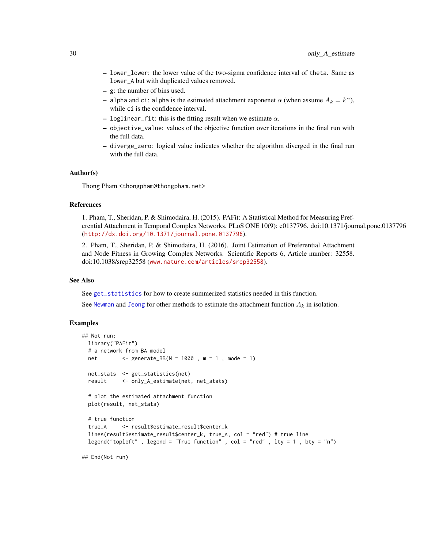- <span id="page-29-0"></span>– lower\_lower: the lower value of the two-sigma confidence interval of theta. Same as lower\_A but with duplicated values removed.
- g: the number of bins used.
- alpha and ci: alpha is the estimated attachment exponenet  $\alpha$  (when assume  $A_k = k^{\alpha}$ ), while ci is the confidence interval.
- loglinear\_fit: this is the fitting result when we estimate  $\alpha$ .
- objective\_value: values of the objective function over iterations in the final run with the full data.
- diverge\_zero: logical value indicates whether the algorithm diverged in the final run with the full data.

#### Author(s)

Thong Pham <thongpham@thongpham.net>

#### References

1. Pham, T., Sheridan, P. & Shimodaira, H. (2015). PAFit: A Statistical Method for Measuring Preferential Attachment in Temporal Complex Networks. PLoS ONE 10(9): e0137796. doi:10.1371/journal.pone.0137796 (<http://dx.doi.org/10.1371/journal.pone.0137796>).

2. Pham, T., Sheridan, P. & Shimodaira, H. (2016). Joint Estimation of Preferential Attachment and Node Fitness in Growing Complex Networks. Scientific Reports 6, Article number: 32558. doi:10.1038/srep32558 (<www.nature.com/articles/srep32558>).

### See Also

See [get\\_statistics](#page-16-1) for how to create summerized statistics needed in this function.

See [Newman](#page-26-1) and [Jeong](#page-21-1) for other methods to estimate the attachment function  $A_k$  in isolation.

### Examples

```
## Not run:
 library("PAFit")
 # a network from BA model
 net <- generate_BB(N = 1000 , m = 1 , mode = 1)
 net_stats <- get_statistics(net)
 result <- only_A_estimate(net, net_stats)
 # plot the estimated attachment function
 plot(result, net_stats)
 # true function
 true_A <- result$estimate_result$center_k
 lines(result$estimate_result$center_k, true_A, col = "red") # true line
 legend("topleft", legend = "True function", col = "red", lty = 1, bty = "n")
```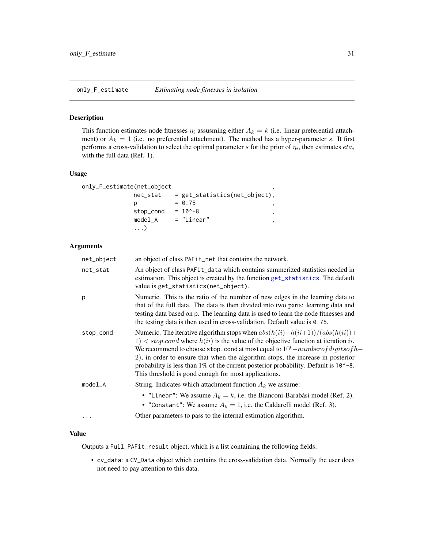<span id="page-30-1"></span><span id="page-30-0"></span>

# Description

This function estimates node fitnesses  $\eta_i$  assusming either  $A_k = k$  (i.e. linear preferential attachment) or  $A_k = 1$  (i.e. no preferential attachment). The method has a hyper-parameter s. It first performs a cross-validation to select the optimal parameter s for the prior of  $\eta_i$ , then estimates  $eta_i$ with the full data (Ref. 1).

### Usage

```
only_F_estimate(net_object ,
```

| net_stat  | = get_statistics(net_object), |
|-----------|-------------------------------|
|           | $= 0.75$                      |
| stop_cond | $= 10^{\circ} - 8$            |
| $model_A$ | = "Linear"                    |
| . )       |                               |

#### Arguments

| net_object | an object of class PAFit_net that contains the network.                                                                                                                                                                                                                                                                                                                                                                                                                                                                     |
|------------|-----------------------------------------------------------------------------------------------------------------------------------------------------------------------------------------------------------------------------------------------------------------------------------------------------------------------------------------------------------------------------------------------------------------------------------------------------------------------------------------------------------------------------|
| net_stat   | An object of class PAF <sub>it</sub> data which contains summerized statistics needed in<br>estimation. This object is created by the function get_statistics. The default<br>value is get_statistics(net_object).                                                                                                                                                                                                                                                                                                          |
| p          | Numeric. This is the ratio of the number of new edges in the learning data to<br>that of the full data. The data is then divided into two parts: learning data and<br>testing data based on p. The learning data is used to learn the node fitnesses and<br>the testing data is then used in cross-validation. Default value is 0.75.                                                                                                                                                                                       |
| stop_cond  | Numeric. The iterative algorithm stops when $abs(h(ii) - h(ii+1))/(abs(h(ii)) +$<br>$1)$ < stop.cond where $h(ii)$ is the value of the objective function at iteration ii.<br>We recommend to choose stop. cond at most equal to $10^{\left(-\right)}number of digits of h-$<br>2), in order to ensure that when the algorithm stops, the increase in posterior<br>probability is less than $1\%$ of the current posterior probability. Default is $10^{\circ}$ -8.<br>This threshold is good enough for most applications. |
| model A    | String. Indicates which attachment function $A_k$ we assume:<br>• "Linear": We assume $A_k = k$ , i.e. the Bianconi-Barabási model (Ref. 2).<br>• "Constant": We assume $A_k = 1$ , i.e. the Caldarelli model (Ref. 3).                                                                                                                                                                                                                                                                                                     |
| .          | Other parameters to pass to the internal estimation algorithm.                                                                                                                                                                                                                                                                                                                                                                                                                                                              |

# Value

Outputs a Full\_PAFit\_result object, which is a list containing the following fields:

• cv\_data: a CV\_Data object which contains the cross-validation data. Normally the user does not need to pay attention to this data.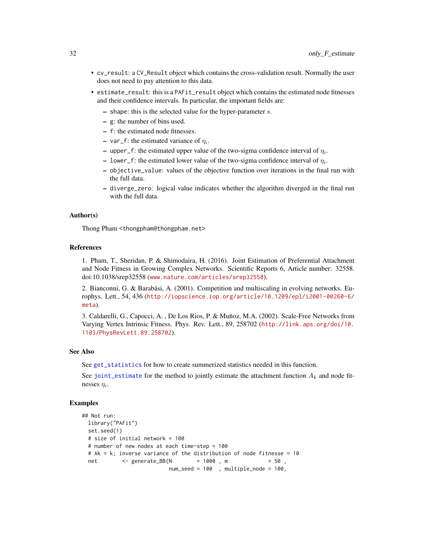- <span id="page-31-0"></span>• cv\_result: a CV\_Result object which contains the cross-validation result. Normally the user does not need to pay attention to this data.
- estimate\_result: this is a PAFit\_result object which contains the estimated node fitnesses and their confidence intervals. In particular, the important fields are:
	- $-$  shape: this is the selected value for the hyper-parameter  $s$ .
	- g: the number of bins used.
	- f: the estimated node fitnesses.
	- $-$  var\_f: the estimated variance of  $\eta_i$ .
	- upper\_f: the estimated upper value of the two-sigma confidence interval of  $\eta_i$ .
	- lower\_f: the estimated lower value of the two-sigma confidence interval of  $\eta_i$ .
	- objective\_value: values of the objective function over iterations in the final run with the full data.
	- diverge\_zero: logical value indicates whether the algorithm diverged in the final run with the full data.

#### Author(s)

Thong Pham <thongpham@thongpham.net>

### References

1. Pham, T., Sheridan, P. & Shimodaira, H. (2016). Joint Estimation of Preferential Attachment and Node Fitness in Growing Complex Networks. Scientific Reports 6, Article number: 32558. doi:10.1038/srep32558 (<www.nature.com/articles/srep32558>).

2. Bianconni, G. & Barabási, A. (2001). Competition and multiscaling in evolving networks. Europhys. Lett., 54, 436 ([http://iopscience.iop.org/article/10.1209/epl/i2001-00260-6/](http://iopscience.iop.org/article/10.1209/epl/i2001-00260-6/meta) [meta](http://iopscience.iop.org/article/10.1209/epl/i2001-00260-6/meta)).

3. Caldarelli, G., Capocci, A. , De Los Rios, P. & Muñoz, M.A. (2002). Scale-Free Networks from Varying Vertex Intrinsic Fitness. Phys. Rev. Lett., 89, 258702 ([http://link.aps.org/doi/10.](http://link.aps.org/doi/10.1103/PhysRevLett.89.258702) [1103/PhysRevLett.89.258702](http://link.aps.org/doi/10.1103/PhysRevLett.89.258702)).

#### See Also

See [get\\_statistics](#page-16-1) for how to create summerized statistics needed in this function.

See [joint\\_estimate](#page-23-1) for the method to jointly estimate the attachment function  $A_k$  and node fitnesses  $\eta_i$ .

### Examples

```
## Not run:
  library("PAFit")
  set.seed(1)
  # size of initial network = 100
  # number of new nodes at each time-step = 100
  # Ak = k; inverse variance of the distribution of node fitnesse = 10<br>net \langle - generate_BB(N = 1000, m = 50,
  net \leftarrow generate_BB(N \leftarrow 1000 \text{ m})num_seed = 100 , multiple_node = 100,
```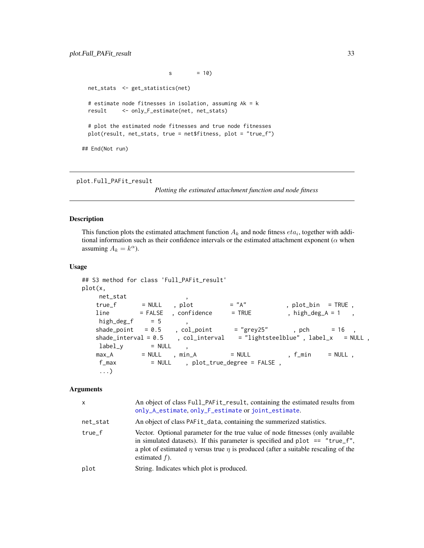<span id="page-32-0"></span> $s = 10$ net\_stats <- get\_statistics(net) # estimate node fitnesses in isolation, assuming Ak = k result <- only\_F\_estimate(net, net\_stats) # plot the estimated node fitnesses and true node fitnesses plot(result, net\_stats, true = net\$fitness, plot = "true\_f") ## End(Not run)

plot.Full\_PAFit\_result

*Plotting the estimated attachment function and node fitness*

#### Description

This function plots the estimated attachment function  $A_k$  and node fitness  $eta_i$ , together with additional information such as their confidence intervals or the estimated attachment exponent ( $\alpha$  when assuming  $A_k = k^{\alpha}$ ).

### Usage

```
## S3 method for class 'Full_PAFit_result'
plot(x,
    net_stat ,
   true_f = NULL , plot = "A", plot_bin = TRUE,
   line \qquad = FALEE , confidence = FRUE , high_deg_A = 1
   high\_deg_f = 5
   shade_point = 0.5, col_point = "grey25", pch = 16,
   shade_interval = 0.5, col_interval = "lightsteelblue", label_x = NULL,
    label_y = NULL ,<br>max_A = NULL , min_A
   max_A = NULL , min_A = NULL , f\_min = NULL ,
    f_{max} = NULL , plot_{true\_degree} = FALSE,
    ...)
```
### Arguments

| $\mathsf{x}$ | An object of class Full_PAFit_result, containing the estimated results from<br>only_A_estimate, only_F_estimate or joint_estimate.                                                                                                                                                    |
|--------------|---------------------------------------------------------------------------------------------------------------------------------------------------------------------------------------------------------------------------------------------------------------------------------------|
| net_stat     | An object of class PAFit_data, containing the summerized statistics.                                                                                                                                                                                                                  |
| $true_f$     | Vector. Optional parameter for the true value of node fitnesses (only available<br>in simulated datasets). If this parameter is specified and plot $==$ "true_f",<br>a plot of estimated $\eta$ versus true $\eta$ is produced (after a suitable rescaling of the<br>estimated $f$ ). |
| plot         | String. Indicates which plot is produced.                                                                                                                                                                                                                                             |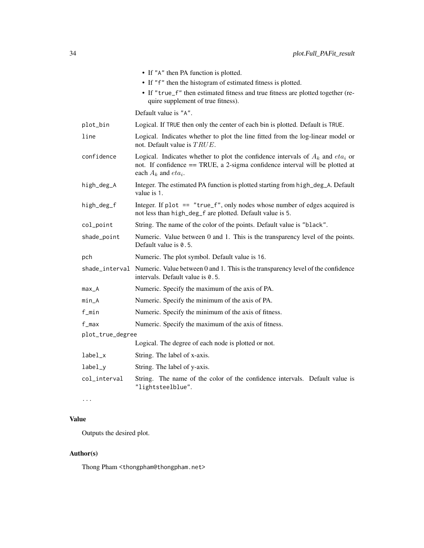|                  | • If "A" then PA function is plotted.                                                                                                                                                           |
|------------------|-------------------------------------------------------------------------------------------------------------------------------------------------------------------------------------------------|
|                  | $\bullet$ If " $f$ " then the histogram of estimated fitness is plotted.                                                                                                                        |
|                  | • If "true_f" then estimated fitness and true fitness are plotted together (re-<br>quire supplement of true fitness).                                                                           |
|                  | Default value is "A".                                                                                                                                                                           |
| plot_bin         | Logical. If TRUE then only the center of each bin is plotted. Default is TRUE.                                                                                                                  |
| line             | Logical. Indicates whether to plot the line fitted from the log-linear model or<br>not. Default value is $TRUE$ .                                                                               |
| confidence       | Logical. Indicates whether to plot the confidence intervals of $A_k$ and $eta_i$ or<br>not. If confidence == TRUE, a 2-sigma confidence interval will be plotted at<br>each $A_k$ and $eta_i$ . |
| high_deg_A       | Integer. The estimated PA function is plotted starting from high_deg_A. Default<br>value is 1.                                                                                                  |
| high_deg_f       | Integer. If plot $==$ "true_f", only nodes whose number of edges acquired is<br>not less than high_deg_f are plotted. Default value is 5.                                                       |
| col_point        | String. The name of the color of the points. Default value is "black".                                                                                                                          |
| shade_point      | Numeric. Value between 0 and 1. This is the transparency level of the points.<br>Default value is 0.5.                                                                                          |
| pch              | Numeric. The plot symbol. Default value is 16.                                                                                                                                                  |
|                  | shade_interval Numeric. Value between 0 and 1. This is the transparency level of the confidence<br>intervals. Default value is 0.5.                                                             |
| $max_A$          | Numeric. Specify the maximum of the axis of PA.                                                                                                                                                 |
| $min_A$          | Numeric. Specify the minimum of the axis of PA.                                                                                                                                                 |
| f_min            | Numeric. Specify the minimum of the axis of fitness.                                                                                                                                            |
| $f_{max}$        | Numeric. Specify the maximum of the axis of fitness.                                                                                                                                            |
| plot_true_degree |                                                                                                                                                                                                 |
|                  | Logical. The degree of each node is plotted or not.                                                                                                                                             |
| label_x          | String. The label of x-axis.                                                                                                                                                                    |
| $label_y$        | String. The label of y-axis.                                                                                                                                                                    |
| col_interval     | String. The name of the color of the confidence intervals. Default value is<br>"lightsteelblue".                                                                                                |

...

# Value

Outputs the desired plot.

# Author(s)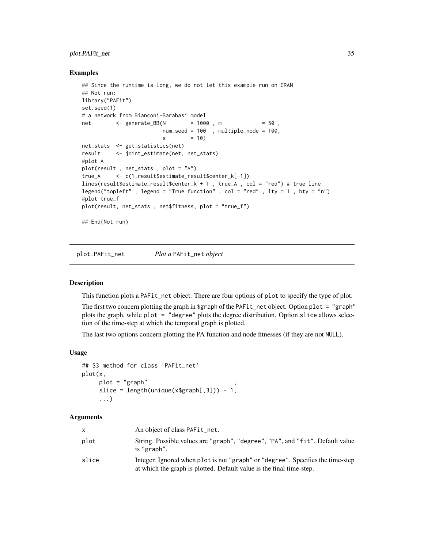# <span id="page-34-0"></span>plot.PAFit\_net 35

#### Examples

```
## Since the runtime is long, we do not let this example run on CRAN
## Not run:
library("PAFit")
set.seed(1)
# a network from Bianconi-Barabasi model
net <- generate_BB(N = 1000 , m = 50 ,
                        num_seed = 100 , multiple_node = 100,
                        s = 10net_stats <- get_statistics(net)
result <- joint_estimate(net, net_stats)
#plot A
plot(result , net_stats , plot = "A")
true_A <- c(1,result$estimate_result$center_k[-1])
lines(result$estimate_result$center_k + 1 , true_A , col = "red") # true line
legend("topleft" , legend = "True function" , col = "red" , lty = 1 , bty = "n")
#plot true_f
plot(result, net_stats , net$fitness, plot = "true_f")
## End(Not run)
```
plot.PAFit\_net *Plot a* PAFit\_net *object*

### **Description**

This function plots a PAFit\_net object. There are four options of plot to specify the type of plot.

The first two concern plotting the graph in \$graph of the PAFit\_net object. Option plot = "graph" plots the graph, while plot = "degree" plots the degree distribution. Option slice allows selection of the time-step at which the temporal graph is plotted.

The last two options concern plotting the PA function and node fitnesses (if they are not NULL).

# Usage

```
## S3 method for class 'PAFit_net'
plot(x,
     plot = "graph"slice = length(unique(x$graph[,3])) - 1,
     ...)
```
### Arguments

| $\mathsf{X}$ | An object of class PAFit_net.                                                                                                                          |
|--------------|--------------------------------------------------------------------------------------------------------------------------------------------------------|
| plot         | String. Possible values are "graph", "degree", "PA", and "fit". Default value<br>is "graph".                                                           |
| slice        | Integer. Ignored when plot is not "graph" or "degree". Specifies the time-step<br>at which the graph is plotted. Default value is the final time-step. |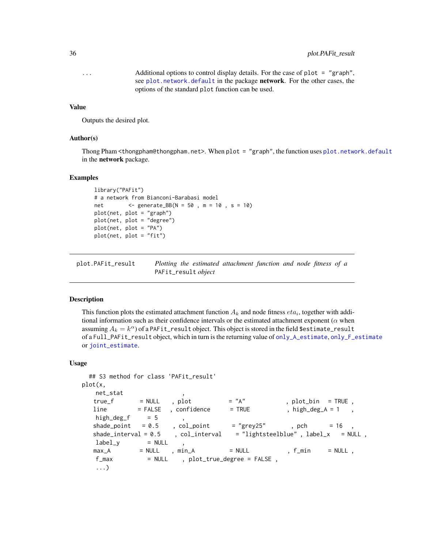<span id="page-35-0"></span>... Additional options to control display details. For the case of plot = "graph", see [plot.network.default](#page-0-0) in the package network. For the other cases, the options of the standard plot function can be used.

#### Value

Outputs the desired plot.

#### Author(s)

Thong Pham <thongpham@thongpham.net>. When plot = "graph", the function uses [plot.network.default](#page-0-0) in the network package.

#### Examples

```
library("PAFit")
# a network from Bianconi-Barabasi model
net <- generate_BB(N = 50 , m = 10 , s = 10)
plot(net, plot = "graph")
plot(net, plot = "degree")
plot(net, plot = "PA")
plot(net, plot = "fit")
```
plot.PAFit\_result *Plotting the estimated attachment function and node fitness of a* PAFit\_result *object*

### Description

This function plots the estimated attachment function  $A_k$  and node fitness  $eta_i$ , together with additional information such as their confidence intervals or the estimated attachment exponent ( $\alpha$  when assuming  $A_k = k^{\alpha}$  of a <code>PAFit\_result</code> object. This object is stored in the field \$estimate\_result of a Full\_PAFit\_result object, which in turn is the returning value of [only\\_A\\_estimate](#page-27-1), [only\\_F\\_estimate](#page-30-1) or [joint\\_estimate](#page-23-1).

#### Usage

```
## S3 method for class 'PAFit_result'
plot(x,
   net_stat ,
  true_f = NULL, plot = "A" , plot_bin = TRUE,
  line = FALSE , confidence = TRUE , high_deg_A = 1
  high\_deg_f = 5
  shade\_point = 0.5, col\_point = "grey25", pch = 16,
  shade_interval = 0.5, col_interval = "lightsteelblue", label_x = NULL,
  label_y = NULL
  max_A = NULL , min_A = NULL , f_{\text{min}} = NULL ,
   f_max = NULL , plot_true_degree = FALSE,
   ...)
```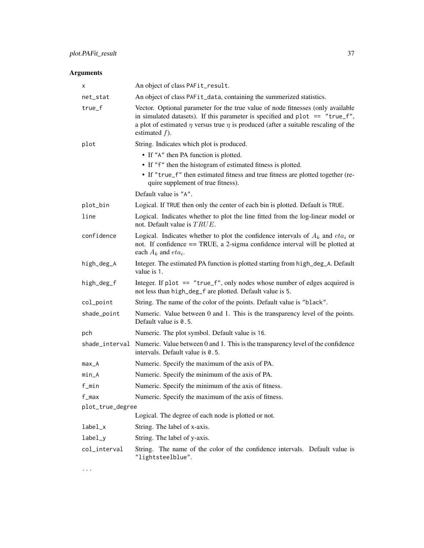# Arguments

| х                | An object of class PAFit_result.                                                                                                                                                                                                                                                       |
|------------------|----------------------------------------------------------------------------------------------------------------------------------------------------------------------------------------------------------------------------------------------------------------------------------------|
| net_stat         | An object of class PAFit_data, containing the summerized statistics.                                                                                                                                                                                                                   |
| true_f           | Vector. Optional parameter for the true value of node fitnesses (only available<br>in simulated datasets). If this parameter is specified and plot $ == "true_f",$<br>a plot of estimated $\eta$ versus true $\eta$ is produced (after a suitable rescaling of the<br>estimated $f$ ). |
| plot             | String. Indicates which plot is produced.                                                                                                                                                                                                                                              |
|                  | • If "A" then PA function is plotted.<br>• If "f" then the histogram of estimated fitness is plotted.<br>• If "true_f" then estimated fitness and true fitness are plotted together (re-<br>quire supplement of true fitness).                                                         |
|                  | Default value is "A".                                                                                                                                                                                                                                                                  |
| plot_bin         | Logical. If TRUE then only the center of each bin is plotted. Default is TRUE.                                                                                                                                                                                                         |
| line             | Logical. Indicates whether to plot the line fitted from the log-linear model or<br>not. Default value is $TRUE$ .                                                                                                                                                                      |
| confidence       | Logical. Indicates whether to plot the confidence intervals of $A_k$ and $eta_i$ or<br>not. If confidence == TRUE, a 2-sigma confidence interval will be plotted at<br>each $A_k$ and $eta_i$ .                                                                                        |
| high_deg_A       | Integer. The estimated PA function is plotted starting from high_deg_A. Default<br>value is 1.                                                                                                                                                                                         |
| high_deg_f       | Integer. If plot $==$ "true_f", only nodes whose number of edges acquired is<br>not less than high_deg_f are plotted. Default value is 5.                                                                                                                                              |
| col_point        | String. The name of the color of the points. Default value is "black".                                                                                                                                                                                                                 |
| shade_point      | Numeric. Value between 0 and 1. This is the transparency level of the points.<br>Default value is 0.5.                                                                                                                                                                                 |
| pch              | Numeric. The plot symbol. Default value is 16.                                                                                                                                                                                                                                         |
|                  | shade_interval Numeric. Value between 0 and 1. This is the transparency level of the confidence<br>intervals. Default value is 0.5.                                                                                                                                                    |
| max_A            | Numeric. Specify the maximum of the axis of PA.                                                                                                                                                                                                                                        |
| $min_A$          | Numeric. Specify the minimum of the axis of PA.                                                                                                                                                                                                                                        |
| f_min            | Numeric. Specify the minimum of the axis of fitness.                                                                                                                                                                                                                                   |
| f_max            | Numeric. Specify the maximum of the axis of fitness.                                                                                                                                                                                                                                   |
| plot_true_degree |                                                                                                                                                                                                                                                                                        |
|                  | Logical. The degree of each node is plotted or not.                                                                                                                                                                                                                                    |
| label_x          | String. The label of x-axis.                                                                                                                                                                                                                                                           |
| $label_y$        | String. The label of y-axis.                                                                                                                                                                                                                                                           |
| col_interval     | String. The name of the color of the confidence intervals. Default value is<br>"lightsteelblue".                                                                                                                                                                                       |

...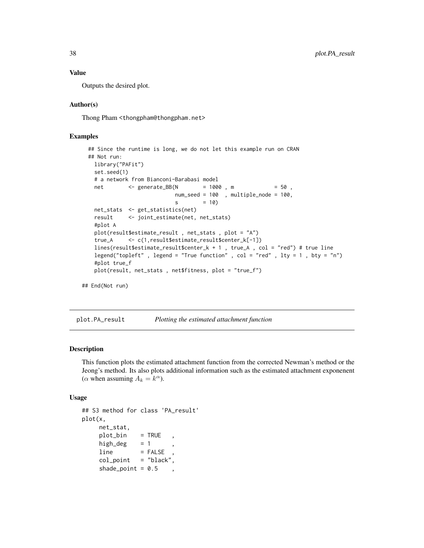### Value

Outputs the desired plot.

# Author(s)

Thong Pham <thongpham@thongpham.net>

# Examples

```
## Since the runtime is long, we do not let this example run on CRAN
 ## Not run:
   library("PAFit")
   set.seed(1)
   # a network from Bianconi-Barabasi model
   net <- generate_BB(N = 1000, m = 50,
                            num_seed = 100 , multiple_node = 100,
                            s = 10net_stats <- get_statistics(net)
   result <- joint_estimate(net, net_stats)
   #plot A
   plot(result$estimate_result , net_stats , plot = "A")
   true_A <- c(1,result$estimate_result$center_k[-1])
   lines(result$estimate_result$center_k + 1 , true_A , col = "red") # true line
   legend("topleft", legend = "True function", col = "red", lty = 1, bty = "n")
   #plot true_f
   plot(result, net_stats , net$fitness, plot = "true_f")
## End(Not run)
```
plot.PA\_result *Plotting the estimated attachment function*

### Description

This function plots the estimated attachment function from the corrected Newman's method or the Jeong's method. Its also plots additional information such as the estimated attachment exponenent ( $\alpha$  when assuming  $A_k = k^{\alpha}$ ).

#### Usage

```
## S3 method for class 'PA_result'
plot(x,
    net_stat,
    plot_bin = TRUE ,
    high_deg = 1line = FALSEcol\_point = "black",
    shade_point = 0.5
```
<span id="page-37-0"></span>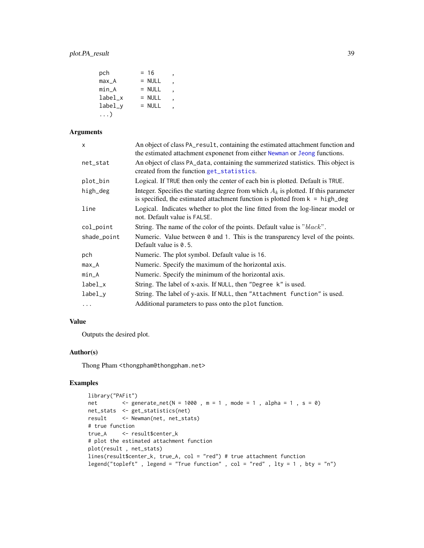<span id="page-38-0"></span>

| pch       | $= 16$   |  |
|-----------|----------|--|
| $max_A$   | $=$ NULL |  |
| min A     | $=$ NULL |  |
| label x   | $=$ NULL |  |
| $label_v$ | $=$ NULL |  |
| . )       |          |  |

# Arguments

| $\mathsf{x}$ | An object of class PA_result, containing the estimated attachment function and<br>the estimated attachment exponenet from either Newman or Jeong functions.              |
|--------------|--------------------------------------------------------------------------------------------------------------------------------------------------------------------------|
| net_stat     | An object of class PA_data, containing the summerized statistics. This object is<br>created from the function get_statistics.                                            |
| plot_bin     | Logical. If TRUE then only the center of each bin is plotted. Default is TRUE.                                                                                           |
| high_deg     | Integer. Specifies the starting degree from which $A_k$ is plotted. If this parameter<br>is specified, the estimated attachment function is plotted from $k = high\_deg$ |
| line         | Logical. Indicates whether to plot the line fitted from the log-linear model or<br>not. Default value is FALSE.                                                          |
| col_point    | String. The name of the color of the points. Default value is "black".                                                                                                   |
| shade_point  | Numeric. Value between $\theta$ and 1. This is the transparency level of the points.<br>Default value is $0.5$ .                                                         |
| pch          | Numeric. The plot symbol. Default value is 16.                                                                                                                           |
| $max_A$      | Numeric. Specify the maximum of the horizontal axis.                                                                                                                     |
| min_A        | Numeric. Specify the minimum of the horizontal axis.                                                                                                                     |
| $label_x$    | String. The label of x-axis. If NULL, then "Degree k" is used.                                                                                                           |
| label_y      | String. The label of y-axis. If NULL, then "Attachment function" is used.                                                                                                |
| $\cdots$     | Additional parameters to pass onto the plot function.                                                                                                                    |

# Value

Outputs the desired plot.

# Author(s)

Thong Pham <thongpham@thongpham.net>

# Examples

```
library("PAFit")
net <- generate_net(N = 1000 , m = 1 , mode = 1 , alpha = 1 , s = 0)
net_stats <- get_statistics(net)
result <- Newman(net, net_stats)
# true function
true_A <- result$center_k
# plot the estimated attachment function
plot(result , net_stats)
lines(result$center_k, true_A, col = "red") # true attachment function
legend("topleft" , legend = "True function" , col = "red" , lty = 1 , bty = "n")
```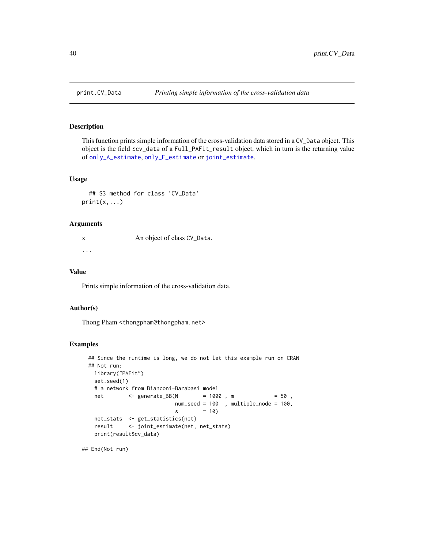# Description

This function prints simple information of the cross-validation data stored in a CV\_Data object. This object is the field \$cv\_data of a Full\_PAFit\_result object, which in turn is the returning value of [only\\_A\\_estimate](#page-27-1), [only\\_F\\_estimate](#page-30-1) or [joint\\_estimate](#page-23-1).

## Usage

```
## S3 method for class 'CV_Data'
print(x, \ldots)
```
### Arguments

x An object of class CV\_Data. ...

#### Value

Prints simple information of the cross-validation data.

#### Author(s)

Thong Pham <thongpham@thongpham.net>

#### Examples

```
## Since the runtime is long, we do not let this example run on CRAN
## Not run:
 library("PAFit")
 set.seed(1)
 # a network from Bianconi-Barabasi model
 net <- generate_BB(N = 1000 , m = 50 ,
                        num_seed = 100 , multiple_node = 100,
                        s = 10net_stats <- get_statistics(net)
 result <- joint_estimate(net, net_stats)
 print(result$cv_data)
```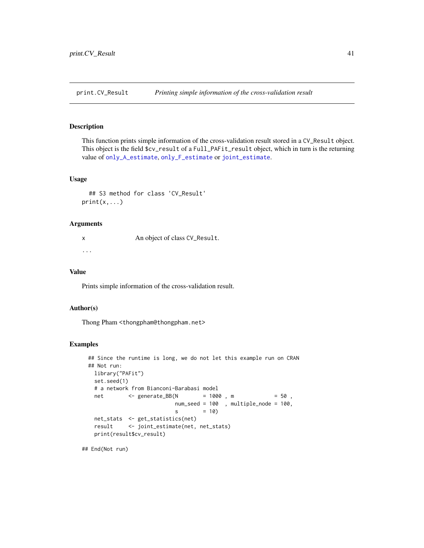<span id="page-40-0"></span>print.CV\_Result *Printing simple information of the cross-validation result*

# Description

This function prints simple information of the cross-validation result stored in a CV\_Result object. This object is the field \$cv\_result of a Full\_PAFit\_result object, which in turn is the returning value of [only\\_A\\_estimate](#page-27-1), [only\\_F\\_estimate](#page-30-1) or [joint\\_estimate](#page-23-1).

# Usage

```
## S3 method for class 'CV_Result'
print(x, \ldots)
```
# Arguments

x An object of class CV\_Result. ...

#### Value

Prints simple information of the cross-validation result.

#### Author(s)

Thong Pham <thongpham@thongpham.net>

#### Examples

```
## Since the runtime is long, we do not let this example run on CRAN
## Not run:
 library("PAFit")
 set.seed(1)
 # a network from Bianconi-Barabasi model
 net <- generate_BB(N = 1000 , m = 50 ,
                        num_seed = 100 , multiple_node = 100,
                        s = 10net_stats <- get_statistics(net)
 result <- joint_estimate(net, net_stats)
 print(result$cv_result)
```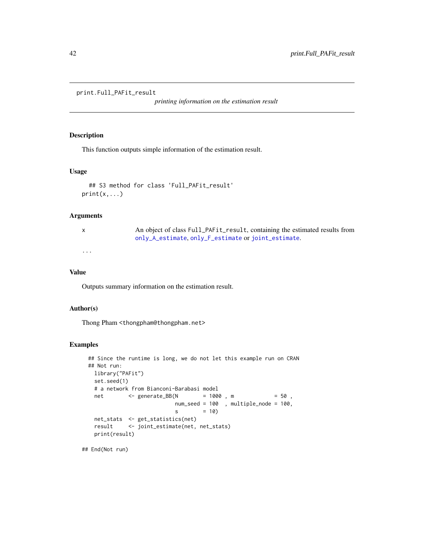```
print.Full_PAFit_result
```
*printing information on the estimation result*

### Description

This function outputs simple information of the estimation result.

# Usage

```
## S3 method for class 'Full_PAFit_result'
print(x,...)
```
### Arguments

| X        | An object of class Full_PAFit_result, containing the estimated results from |
|----------|-----------------------------------------------------------------------------|
|          | only_A_estimate, only_F_estimate or joint_estimate.                         |
| $\cdots$ |                                                                             |

### Value

Outputs summary information on the estimation result.

# Author(s)

Thong Pham <thongpham@thongpham.net>

### Examples

```
## Since the runtime is long, we do not let this example run on CRAN
## Not run:
 library("PAFit")
 set.seed(1)
 # a network from Bianconi-Barabasi model
 net <- generate_BB(N = 1000 , m = 50 ,
                        num_seed = 100 , multiple_node = 100,
                        s = 10net_stats <- get_statistics(net)
 result <- joint_estimate(net, net_stats)
 print(result)
```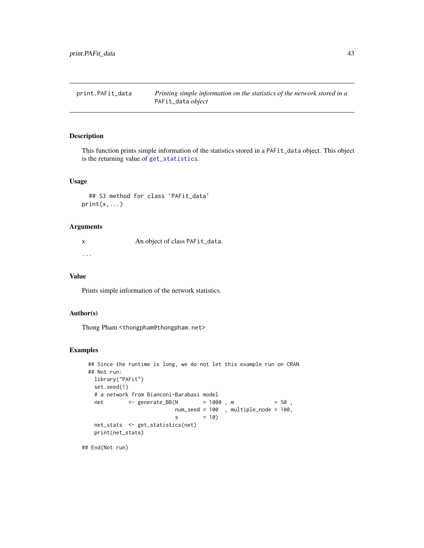<span id="page-42-0"></span>print.PAFit\_data *Printing simple information on the statistics of the network stored in a* PAFit\_data *object*

# Description

This function prints simple information of the statistics stored in a PAFit\_data object. This object is the returning value of [get\\_statistics](#page-16-1).

# Usage

```
## S3 method for class 'PAFit_data'
print(x, \ldots)
```
### Arguments

x An object of class PAFit\_data. ...

# Value

Prints simple information of the network statistics.

# Author(s)

Thong Pham <thongpham@thongpham.net>

# Examples

```
## Since the runtime is long, we do not let this example run on CRAN
## Not run:
 library("PAFit")
 set.seed(1)
 # a network from Bianconi-Barabasi model
 net <- generate_BB(N = 1000, m = 50,
                        num_seed = 100 , multiple_node = 100,
                        s = 10net_stats <- get_statistics(net)
 print(net_stats)
```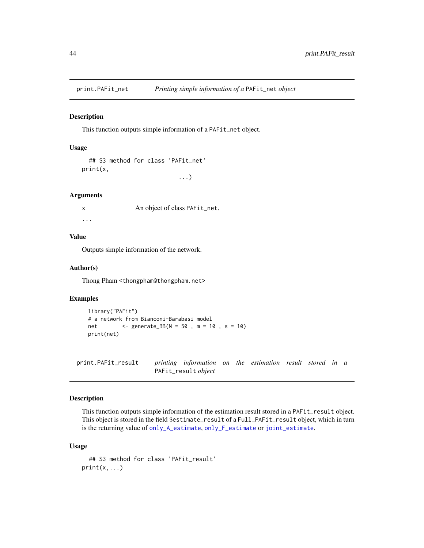<span id="page-43-0"></span>

### Description

This function outputs simple information of a PAFit\_net object.

# Usage

```
## S3 method for class 'PAFit_net'
print(x,
                             ...)
```
#### Arguments

x An object of class PAFit\_net. ...

# Value

Outputs simple information of the network.

# Author(s)

Thong Pham <thongpham@thongpham.net>

# Examples

```
library("PAFit")
# a network from Bianconi-Barabasi model
net <- generate_BB(N = 50 , m = 10 , s = 10)
print(net)
```
print.PAFit\_result *printing information on the estimation result stored in a* PAFit\_result *object*

### Description

This function outputs simple information of the estimation result stored in a PAFit\_result object. This object is stored in the field \$estimate\_result of a Full\_PAFit\_result object, which in turn is the returning value of [only\\_A\\_estimate](#page-27-1), [only\\_F\\_estimate](#page-30-1) or [joint\\_estimate](#page-23-1).

# Usage

```
## S3 method for class 'PAFit_result'
print(x, \ldots)
```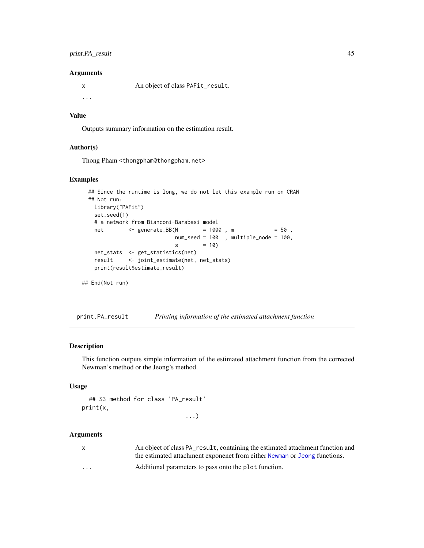# <span id="page-44-0"></span>print.PA\_result 45

#### **Arguments**

x An object of class PAFit\_result.

...

# Value

Outputs summary information on the estimation result.

#### Author(s)

Thong Pham <thongpham@thongpham.net>

# Examples

```
## Since the runtime is long, we do not let this example run on CRAN
## Not run:
 library("PAFit")
 set.seed(1)
 # a network from Bianconi-Barabasi model
 net <- generate_BB(N = 1000 , m = 50 ,
                        num_seed = 100 , multiple_node = 100,
                        s = 10net_stats <- get_statistics(net)
 result <- joint_estimate(net, net_stats)
 print(result$estimate_result)
```

```
## End(Not run)
```
print.PA\_result *Printing information of the estimated attachment function*

### Description

This function outputs simple information of the estimated attachment function from the corrected Newman's method or the Jeong's method.

# Usage

```
## S3 method for class 'PA_result'
print(x,
```
...)

### Arguments

|          | An object of class PA_result, containing the estimated attachment function and |
|----------|--------------------------------------------------------------------------------|
|          | the estimated attachment exponenct from either Newman or Jeong functions.      |
| $\cdots$ | Additional parameters to pass onto the plot function.                          |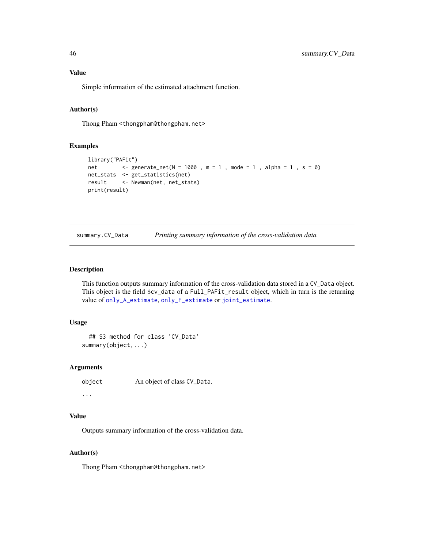# <span id="page-45-0"></span>Value

Simple information of the estimated attachment function.

# Author(s)

Thong Pham <thongpham@thongpham.net>

# Examples

```
library("PAFit")
net <- generate_net(N = 1000, m = 1, mode = 1, alpha = 1, s = 0)
net_stats <- get_statistics(net)
result <- Newman(net, net_stats)
print(result)
```

| summary.CV_Data |  |  | Printing summary information of the cross-validation data |
|-----------------|--|--|-----------------------------------------------------------|
|-----------------|--|--|-----------------------------------------------------------|

# Description

This function outputs summary information of the cross-validation data stored in a CV\_Data object. This object is the field \$cv\_data of a Full\_PAFit\_result object, which in turn is the returning value of [only\\_A\\_estimate](#page-27-1), [only\\_F\\_estimate](#page-30-1) or [joint\\_estimate](#page-23-1).

### Usage

```
## S3 method for class 'CV_Data'
summary(object,...)
```
## Arguments

```
object An object of class CV_Data.
```
...

# Value

Outputs summary information of the cross-validation data.

# Author(s)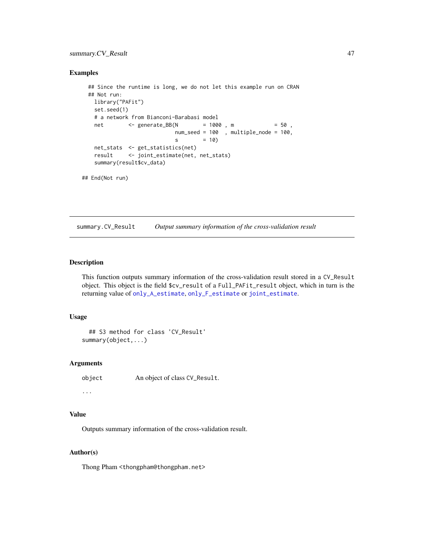# <span id="page-46-0"></span>summary.CV\_Result 47

### Examples

```
## Since the runtime is long, we do not let this example run on CRAN
 ## Not run:
   library("PAFit")
   set.seed(1)
   # a network from Bianconi-Barabasi model
   net <- generate_BB(N = 1000 , m = 50 ,
                          num_seed = 100 , multiple_node = 100,
                          s = 10net_stats <- get_statistics(net)
   result <- joint_estimate(net, net_stats)
   summary(result$cv_data)
## End(Not run)
```
summary.CV\_Result *Output summary information of the cross-validation result*

# Description

This function outputs summary information of the cross-validation result stored in a CV\_Result object. This object is the field \$cv\_result of a Full\_PAFit\_result object, which in turn is the returning value of [only\\_A\\_estimate](#page-27-1), [only\\_F\\_estimate](#page-30-1) or [joint\\_estimate](#page-23-1).

### Usage

```
## S3 method for class 'CV_Result'
summary(object,...)
```
### Arguments

```
object An object of class CV_Result.
```
...

# Value

Outputs summary information of the cross-validation result.

### Author(s)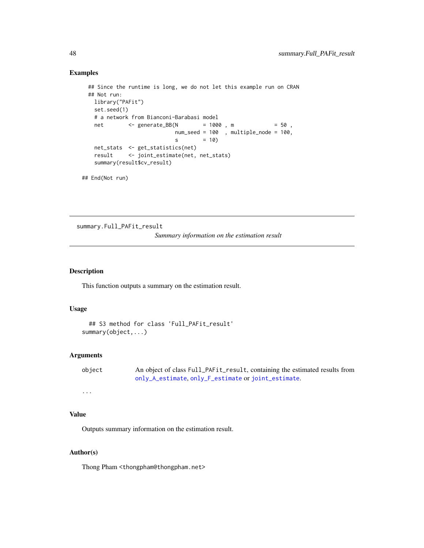### Examples

```
## Since the runtime is long, we do not let this example run on CRAN
 ## Not run:
   library("PAFit")
   set.seed(1)
   # a network from Bianconi-Barabasi model
   net <- generate_BB(N = 1000, m = 50,
                          num_seed = 100 , multiple_node = 100,
                          s = 10net_stats <- get_statistics(net)
   result <- joint_estimate(net, net_stats)
   summary(result$cv_result)
## End(Not run)
```
summary.Full\_PAFit\_result *Summary information on the estimation result*

# Description

This function outputs a summary on the estimation result.

# Usage

```
## S3 method for class 'Full_PAFit_result'
summary(object,...)
```
# Arguments

```
object An object of class Full_PAFit_result, containing the estimated results from
               only_A_estimate, only_F_estimate or joint_estimate.
```
# ...

# Value

Outputs summary information on the estimation result.

# Author(s)

<span id="page-47-0"></span>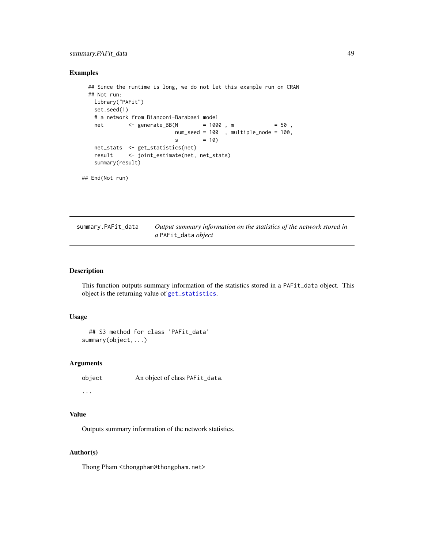# <span id="page-48-0"></span>summary.PAFit\_data 49

# Examples

```
## Since the runtime is long, we do not let this example run on CRAN
## Not run:
 library("PAFit")
 set.seed(1)
 # a network from Bianconi-Barabasi model
 net <- generate_BB(N = 1000, m = 50,
                        num_seed = 100 , multiple_node = 100,
                        s = 10net_stats <- get_statistics(net)
 result <- joint_estimate(net, net_stats)
 summary(result)
```
## End(Not run)

summary.PAFit\_data *Output summary information on the statistics of the network stored in a* PAFit\_data *object*

# Description

This function outputs summary information of the statistics stored in a PAFit\_data object. This object is the returning value of [get\\_statistics](#page-16-1).

# Usage

```
## S3 method for class 'PAFit_data'
summary(object,...)
```
### Arguments

```
object An object of class PAFit_data.
```
...

# Value

Outputs summary information of the network statistics.

# Author(s)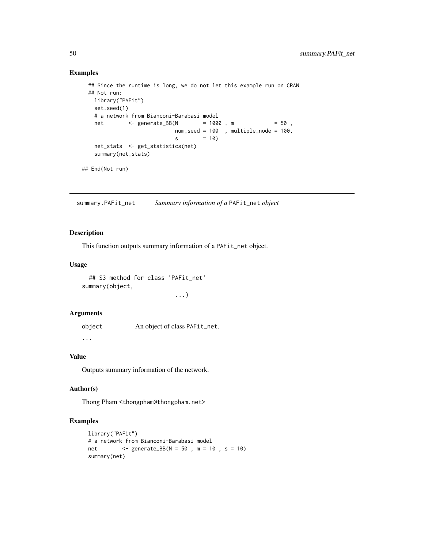# Examples

```
## Since the runtime is long, we do not let this example run on CRAN
 ## Not run:
   library("PAFit")
   set.seed(1)
   # a network from Bianconi-Barabasi model
   net <- generate_BB(N = 1000 , m = 50 ,
                          num_seed = 100 , multiple_node = 100,
                          s = 10net_stats <- get_statistics(net)
   summary(net_stats)
## End(Not run)
```
summary.PAFit\_net *Summary information of a* PAFit\_net *object*

# Description

This function outputs summary information of a PAFit\_net object.

### Usage

```
## S3 method for class 'PAFit_net'
summary(object,
```
...)

### Arguments

object An object of class PAFit\_net.

...

# Value

Outputs summary information of the network.

### Author(s)

Thong Pham <thongpham@thongpham.net>

# Examples

```
library("PAFit")
# a network from Bianconi-Barabasi model
net <- generate_BB(N = 50 , m = 10 , s = 10)
summary(net)
```
<span id="page-49-0"></span>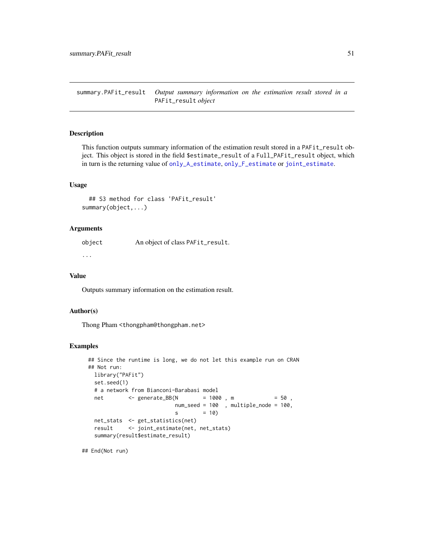<span id="page-50-0"></span>summary.PAFit\_result *Output summary information on the estimation result stored in a* PAFit\_result *object*

### Description

This function outputs summary information of the estimation result stored in a PAFit\_result object. This object is stored in the field \$estimate\_result of a Full\_PAFit\_result object, which in turn is the returning value of [only\\_A\\_estimate](#page-27-1), [only\\_F\\_estimate](#page-30-1) or [joint\\_estimate](#page-23-1).

### Usage

## S3 method for class 'PAFit\_result' summary(object,...)

# Arguments

object An object of class PAFit\_result.

...

#### Value

Outputs summary information on the estimation result.

### Author(s)

Thong Pham <thongpham@thongpham.net>

#### Examples

```
## Since the runtime is long, we do not let this example run on CRAN
## Not run:
 library("PAFit")
 set.seed(1)
 # a network from Bianconi-Barabasi model
 net <- generate_BB(N = 1000, m = 50,
                        num_seed = 100 , multiple_node = 100,
                        s = 10net_stats <- get_statistics(net)
 result <- joint_estimate(net, net_stats)
 summary(result$estimate_result)
```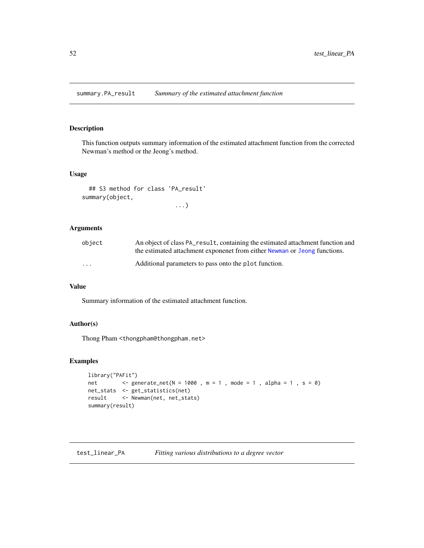<span id="page-51-0"></span>summary.PA\_result *Summary of the estimated attachment function*

# Description

This function outputs summary information of the estimated attachment function from the corrected Newman's method or the Jeong's method.

# Usage

```
## S3 method for class 'PA_result'
summary(object,
                           ...)
```
# Arguments

| object | An object of class PA_result, containing the estimated attachment function and<br>the estimated attachment exponenct from either Newman or Jeong functions. |
|--------|-------------------------------------------------------------------------------------------------------------------------------------------------------------|
| .      | Additional parameters to pass onto the plot function.                                                                                                       |

# Value

Summary information of the estimated attachment function.

# Author(s)

Thong Pham <thongpham@thongpham.net>

# Examples

```
library("PAFit")
net <- generate_net(N = 1000, m = 1, mode = 1, alpha = 1, s = 0)
net_stats <- get_statistics(net)
result <- Newman(net, net_stats)
summary(result)
```
test\_linear\_PA *Fitting various distributions to a degree vector*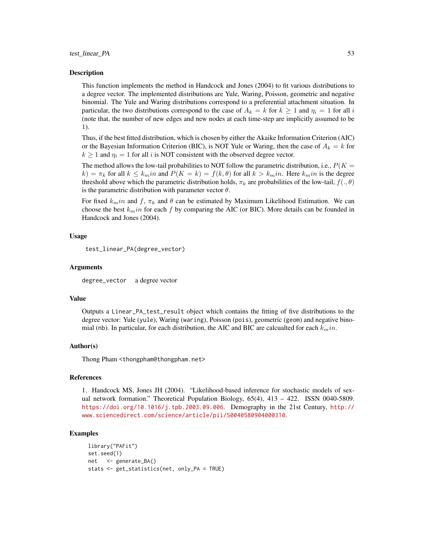#### test\_linear\_PA 53

### Description

This function implements the method in Handcock and Jones (2004) to fit various distributions to a degree vector. The implemented distributions are Yule, Waring, Poisson, geometric and negative binomial. The Yule and Waring distributions correspond to a preferential attachment situation. In particular, the two distributions correspond to the case of  $A_k = k$  for  $k \ge 1$  and  $\eta_i = 1$  for all i (note that, the number of new edges and new nodes at each time-step are implicitly assumed to be 1).

Thus, if the best fitted distribution, which is chosen by either the Akaike Information Criterion (AIC) or the Bayesian Information Criterion (BIC), is NOT Yule or Waring, then the case of  $A_k = k$  for  $k \ge 1$  and  $\eta_i = 1$  for all i is NOT consistent with the observed degree vector.

The method allows the low-tail probabilities to NOT follow the parametric distribution, i.e.,  $P(K =$  $k) = \pi_k$  for all  $k \leq k_m$ in and  $P(K = k) = f(k, \theta)$  for all  $k > k_m$ in. Here  $k_m$ in is the degree threshold above which the parametric distribution holds,  $\pi_k$  are probabilities of the low-tail,  $f(.,\theta)$ is the parametric distribution with parameter vector  $\theta$ .

For fixed  $k_{m}$ in and f,  $\pi_{k}$  and  $\theta$  can be estimated by Maximum Likelihood Estimation. We can choose the best  $k_{min}$  for each f by comparing the AIC (or BIC). More details can be founded in Handcock and Jones (2004).

### Usage

```
test_linear_PA(degree_vector)
```
### Arguments

degree\_vector a degree vector

#### Value

Outputs a Linear\_PA\_test\_result object which contains the fitting of five distributions to the degree vector: Yule (yule), Waring (waring), Poisson (pois), geometric (geom) and negative binomial (nb). In particular, for each distribution, the AIC and BIC are calcualted for each  $k_m$ in.

#### Author(s)

Thong Pham <thongpham@thongpham.net>

#### References

1. Handcock MS, Jones JH (2004). "Likelihood-based inference for stochastic models of sexual network formation." Theoretical Population Biology, 65(4), 413 – 422. ISSN 0040-5809. <https://doi.org/10.1016/j.tpb.2003.09.006>. Demography in the 21st Century, [http://](http://www.sciencedirect.com/science/article/pii/S0040580904000310) [www.sciencedirect.com/science/article/pii/S0040580904000310](http://www.sciencedirect.com/science/article/pii/S0040580904000310).

### Examples

```
library("PAFit")
set.seed(1)
net <- generate_BA()
stats <- get_statistics(net, only_PA = TRUE)
```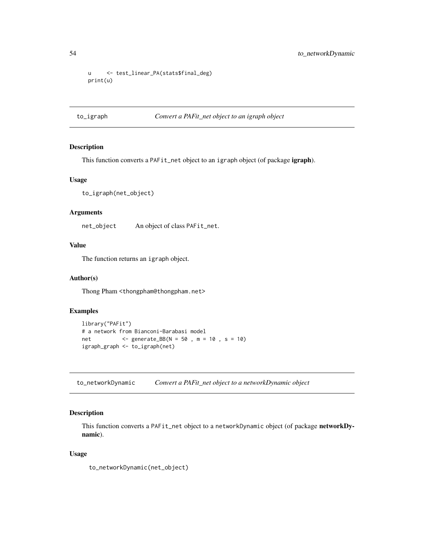```
u <- test_linear_PA(stats$final_deg)
print(u)
```
#### to\_igraph *Convert a PAFit\_net object to an igraph object*

# Description

This function converts a PAFit\_net object to an igraph object (of package igraph).

# Usage

```
to_igraph(net_object)
```
# Arguments

net\_object An object of class PAFit\_net.

# Value

The function returns an igraph object.

# Author(s)

Thong Pham <thongpham@thongpham.net>

# Examples

```
library("PAFit")
# a network from Bianconi-Barabasi model
net <- generate_BB(N = 50 , m = 10 , s = 10)
igraph_graph <- to_igraph(net)
```
to\_networkDynamic *Convert a PAFit\_net object to a networkDynamic object*

# Description

This function converts a PAFit\_net object to a networkDynamic object (of package networkDynamic).

# Usage

to\_networkDynamic(net\_object)

<span id="page-53-0"></span>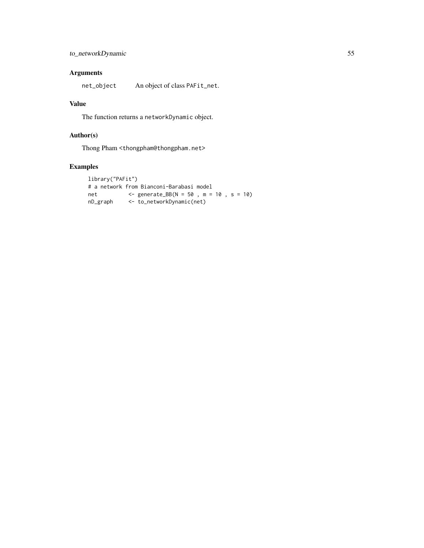# Arguments

net\_object An object of class PAFit\_net.

# Value

The function returns a networkDynamic object.

# Author(s)

Thong Pham <thongpham@thongpham.net>

# Examples

```
library("PAFit")
# a network from Bianconi-Barabasi model
net <- generate_BB(N = 50 , m = 10 , s = 10)
nD_graph <- to_networkDynamic(net)
```